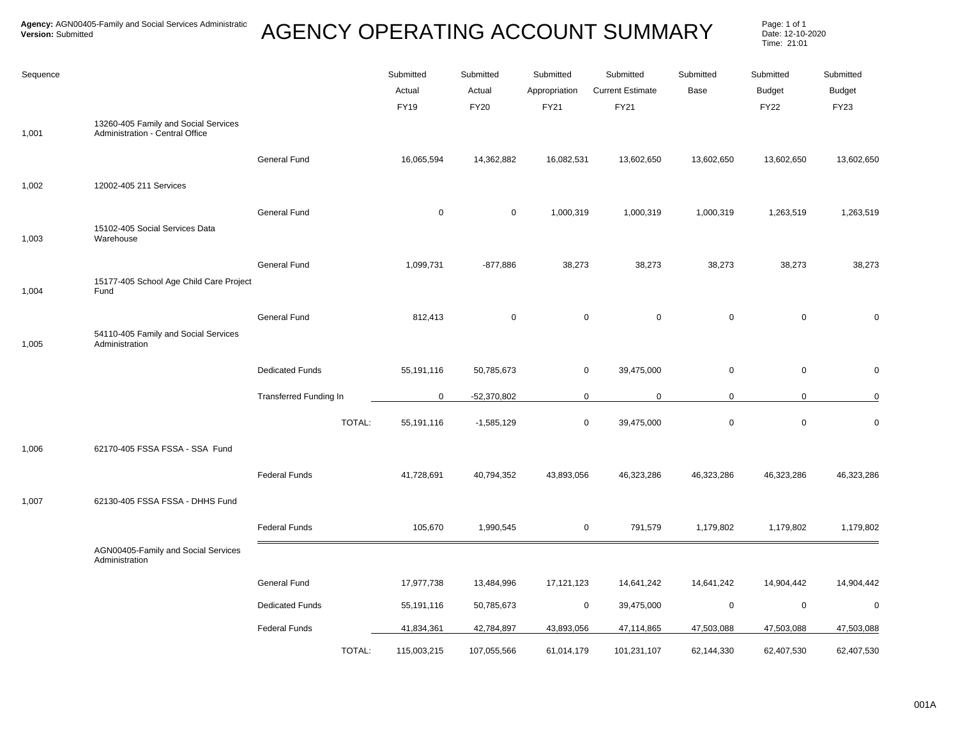| Sequence | 13260-405 Family and Social Services                   |                        | Submitted<br>Actual<br><b>FY19</b> | Submitted<br>Actual<br><b>FY20</b> | Submitted<br>Appropriation<br>FY21 | Submitted<br><b>Current Estimate</b><br>FY21 | Submitted<br>Base | Submitted<br><b>Budget</b><br><b>FY22</b> | Submitted<br><b>Budget</b><br>FY23 |
|----------|--------------------------------------------------------|------------------------|------------------------------------|------------------------------------|------------------------------------|----------------------------------------------|-------------------|-------------------------------------------|------------------------------------|
| 1,001    | Administration - Central Office                        |                        |                                    |                                    |                                    |                                              |                   |                                           |                                    |
|          |                                                        | General Fund           | 16,065,594                         | 14,362,882                         | 16,082,531                         | 13,602,650                                   | 13,602,650        | 13,602,650                                | 13,602,650                         |
| 1,002    | 12002-405 211 Services                                 |                        |                                    |                                    |                                    |                                              |                   |                                           |                                    |
|          |                                                        | General Fund           | $\mathbf 0$                        | $\mathbf 0$                        | 1,000,319                          | 1,000,319                                    | 1,000,319         | 1,263,519                                 | 1,263,519                          |
| 1,003    | 15102-405 Social Services Data<br>Warehouse            |                        |                                    |                                    |                                    |                                              |                   |                                           |                                    |
|          |                                                        | General Fund           | 1,099,731                          | $-877,886$                         | 38,273                             | 38,273                                       | 38,273            | 38,273                                    | 38,273                             |
| 1,004    | 15177-405 School Age Child Care Project<br>Fund        |                        |                                    |                                    |                                    |                                              |                   |                                           |                                    |
| 1,005    | 54110-405 Family and Social Services<br>Administration | General Fund           | 812,413                            | $\mathbf 0$                        |                                    | $\pmb{0}$<br>0                               | $\pmb{0}$         | $\mathsf 0$                               | 0                                  |
|          |                                                        | <b>Dedicated Funds</b> | 55,191,116                         | 50,785,673                         | 0                                  | 39,475,000                                   | $\pmb{0}$         | $\mathbf 0$                               | 0                                  |
|          |                                                        | Transferred Funding In | $\overline{0}$                     | $-52,370,802$                      |                                    | $\mathbf 0$<br>$\mathbf 0$                   | 0                 | $\mathbf 0$                               | 0                                  |
|          |                                                        | TOTAL:                 | 55,191,116                         | $-1,585,129$                       |                                    | 39,475,000<br>0                              | $\mathbf 0$       | $\mathbf 0$                               | $\mathbf 0$                        |
| 1,006    | 62170-405 FSSA FSSA - SSA Fund                         |                        |                                    |                                    |                                    |                                              |                   |                                           |                                    |
|          |                                                        | <b>Federal Funds</b>   | 41,728,691                         | 40,794,352                         | 43,893,056                         | 46,323,286                                   | 46,323,286        | 46,323,286                                | 46,323,286                         |
| 1,007    | 62130-405 FSSA FSSA - DHHS Fund                        |                        |                                    |                                    |                                    |                                              |                   |                                           |                                    |
|          |                                                        | <b>Federal Funds</b>   | 105,670                            | 1,990,545                          | 0                                  | 791,579                                      | 1,179,802         | 1,179,802                                 | 1,179,802                          |
|          | AGN00405-Family and Social Services<br>Administration  |                        |                                    |                                    |                                    |                                              |                   |                                           |                                    |
|          |                                                        | General Fund           | 17,977,738                         | 13,484,996                         | 17,121,123                         | 14,641,242                                   | 14,641,242        | 14,904,442                                | 14,904,442                         |
|          |                                                        | <b>Dedicated Funds</b> | 55,191,116                         | 50,785,673                         | 0                                  | 39,475,000                                   | 0                 | $\mathbf 0$                               | $\mathbf 0$                        |
|          |                                                        | <b>Federal Funds</b>   | 41,834,361                         | 42,784,897                         | 43,893,056                         | 47,114,865                                   | 47,503,088        | 47,503,088                                | 47,503,088                         |
|          |                                                        | TOTAL:                 | 115,003,215                        | 107,055,566                        | 61,014,179                         | 101,231,107                                  | 62,144,330        | 62,407,530                                | 62,407,530                         |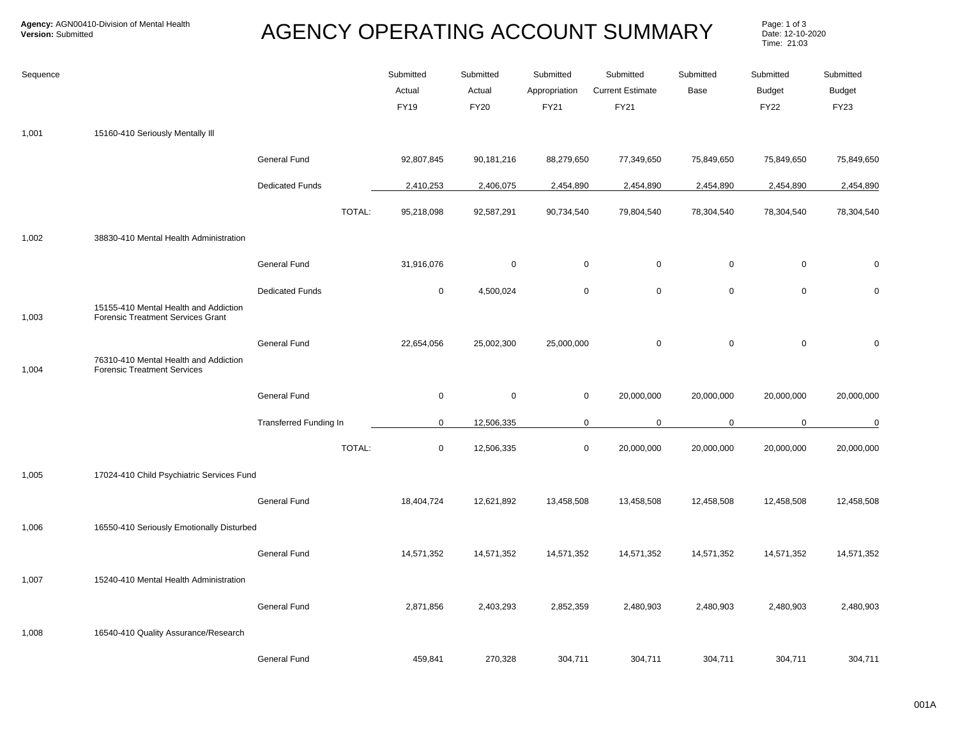| Sequence |                                                                             |                               | Submitted<br>Actual<br><b>FY19</b> | Submitted<br>Actual<br><b>FY20</b> | Submitted<br>Appropriation<br>FY21 | Submitted<br><b>Current Estimate</b><br>FY21 | Submitted<br>Base | Submitted<br><b>Budget</b><br><b>FY22</b> | Submitted<br><b>Budget</b><br>FY23 |
|----------|-----------------------------------------------------------------------------|-------------------------------|------------------------------------|------------------------------------|------------------------------------|----------------------------------------------|-------------------|-------------------------------------------|------------------------------------|
| 1,001    | 15160-410 Seriously Mentally III                                            |                               |                                    |                                    |                                    |                                              |                   |                                           |                                    |
|          |                                                                             | <b>General Fund</b>           | 92,807,845                         | 90,181,216                         | 88,279,650                         | 77,349,650                                   | 75,849,650        | 75,849,650                                | 75,849,650                         |
|          |                                                                             | <b>Dedicated Funds</b>        | 2,410,253                          | 2,406,075                          | 2,454,890                          | 2,454,890                                    | 2,454,890         | 2,454,890                                 | 2,454,890                          |
|          |                                                                             | TOTAL:                        | 95,218,098                         | 92,587,291                         | 90,734,540                         | 79,804,540                                   | 78,304,540        | 78,304,540                                | 78,304,540                         |
| 1,002    | 38830-410 Mental Health Administration                                      |                               |                                    |                                    |                                    |                                              |                   |                                           |                                    |
|          |                                                                             | <b>General Fund</b>           | 31,916,076                         | $\mathbf 0$                        | $\mathbf 0$                        | $\mathsf{O}\xspace$                          | $\mathbf 0$       | $\mathbf 0$                               | $\Omega$                           |
| 1,003    | 15155-410 Mental Health and Addiction<br>Forensic Treatment Services Grant  | <b>Dedicated Funds</b>        | $\mathbf 0$                        | 4,500,024                          | $\mathsf 0$                        | $\mathsf 0$                                  | $\mathsf 0$       | $\mathbf 0$                               | 0                                  |
| 1,004    | 76310-410 Mental Health and Addiction<br><b>Forensic Treatment Services</b> | General Fund                  | 22,654,056                         | 25,002,300                         | 25,000,000                         | $\mathbf 0$                                  | $\mathsf 0$       | $\mathbf 0$                               | $\mathbf 0$                        |
|          |                                                                             | <b>General Fund</b>           | $\mathbf 0$                        | $\mathbf 0$                        | $\mathbf 0$                        | 20,000,000                                   | 20,000,000        | 20,000,000                                | 20,000,000                         |
|          |                                                                             | <b>Transferred Funding In</b> | $\mathbf 0$                        | 12,506,335                         | $\mathbf 0$                        | $\mathbf 0$                                  | $\mathbf 0$       | $\mathbf 0$                               | 0                                  |
|          |                                                                             | TOTAL:                        | $\mathsf 0$                        | 12,506,335                         | $\mathbf 0$                        | 20,000,000                                   | 20,000,000        | 20,000,000                                | 20,000,000                         |
| 1,005    | 17024-410 Child Psychiatric Services Fund                                   |                               |                                    |                                    |                                    |                                              |                   |                                           |                                    |
|          |                                                                             | <b>General Fund</b>           | 18,404,724                         | 12,621,892                         | 13,458,508                         | 13,458,508                                   | 12,458,508        | 12,458,508                                | 12,458,508                         |
| 1,006    | 16550-410 Seriously Emotionally Disturbed                                   |                               |                                    |                                    |                                    |                                              |                   |                                           |                                    |
|          |                                                                             | <b>General Fund</b>           | 14,571,352                         | 14,571,352                         | 14,571,352                         | 14,571,352                                   | 14,571,352        | 14,571,352                                | 14,571,352                         |
| 1,007    | 15240-410 Mental Health Administration                                      |                               |                                    |                                    |                                    |                                              |                   |                                           |                                    |
|          |                                                                             | <b>General Fund</b>           | 2,871,856                          | 2,403,293                          | 2,852,359                          | 2,480,903                                    | 2,480,903         | 2,480,903                                 | 2,480,903                          |
| 1,008    | 16540-410 Quality Assurance/Research                                        |                               |                                    |                                    |                                    |                                              |                   |                                           |                                    |
|          |                                                                             | General Fund                  | 459,841                            | 270,328                            | 304,711                            | 304,711                                      | 304,711           | 304,711                                   | 304,711                            |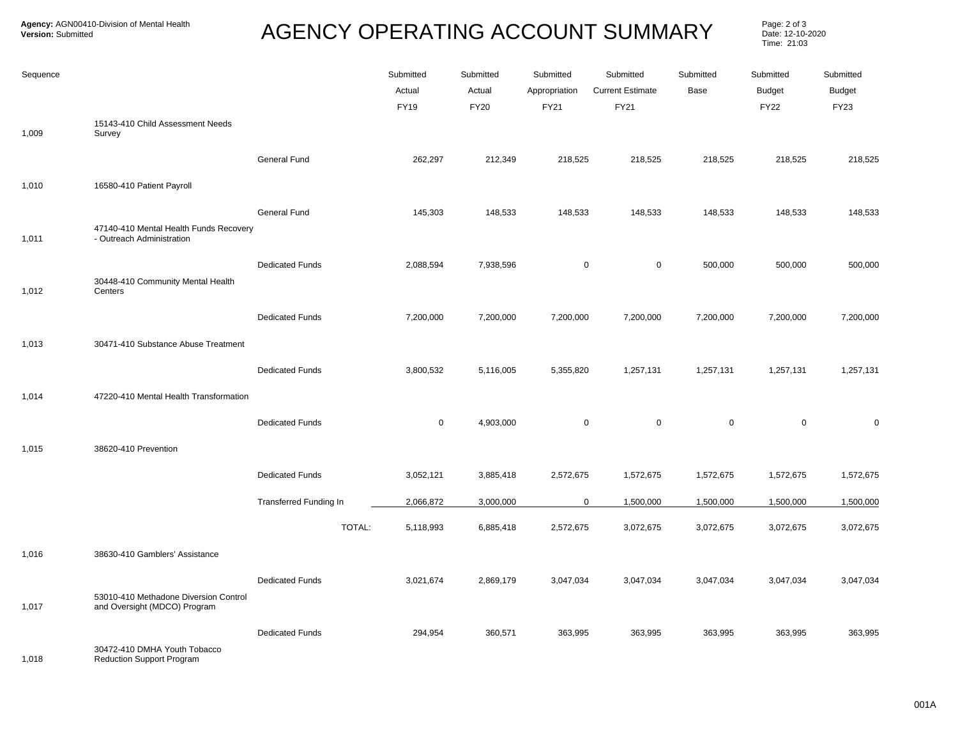**Agency:** AGN00410-Division of Mental Health

Page: 2 of 3<br>Date: 12-10-2020 Time: 21:03

| Sequence |                                                                       |                               | Submitted<br>Actual<br><b>FY19</b> | Submitted<br>Actual<br><b>FY20</b> | Submitted<br>Appropriation<br>FY21 | Submitted<br><b>Current Estimate</b><br>FY21 | Submitted<br>Base | Submitted<br><b>Budget</b><br><b>FY22</b> | Submitted<br><b>Budget</b><br><b>FY23</b> |
|----------|-----------------------------------------------------------------------|-------------------------------|------------------------------------|------------------------------------|------------------------------------|----------------------------------------------|-------------------|-------------------------------------------|-------------------------------------------|
| 1,009    | 15143-410 Child Assessment Needs<br>Survey                            |                               |                                    |                                    |                                    |                                              |                   |                                           |                                           |
|          |                                                                       | General Fund                  | 262,297                            | 212,349                            | 218,525                            | 218,525                                      | 218,525           | 218,525                                   | 218,525                                   |
| 1,010    | 16580-410 Patient Payroll                                             |                               |                                    |                                    |                                    |                                              |                   |                                           |                                           |
|          | 47140-410 Mental Health Funds Recovery                                | General Fund                  | 145,303                            | 148,533                            | 148,533                            | 148,533                                      | 148,533           | 148,533                                   | 148,533                                   |
| 1,011    | - Outreach Administration                                             |                               |                                    |                                    |                                    |                                              |                   |                                           |                                           |
| 1,012    | 30448-410 Community Mental Health<br>Centers                          | <b>Dedicated Funds</b>        | 2,088,594                          | 7,938,596                          | $\mathbf 0$                        | $\mathbf 0$                                  | 500,000           | 500,000                                   | 500,000                                   |
|          |                                                                       |                               |                                    |                                    |                                    |                                              |                   |                                           |                                           |
|          |                                                                       | <b>Dedicated Funds</b>        | 7,200,000                          | 7,200,000                          | 7,200,000                          | 7,200,000                                    | 7,200,000         | 7,200,000                                 | 7,200,000                                 |
| 1,013    | 30471-410 Substance Abuse Treatment                                   |                               |                                    |                                    |                                    |                                              |                   |                                           |                                           |
|          |                                                                       | <b>Dedicated Funds</b>        | 3,800,532                          | 5,116,005                          | 5,355,820                          | 1,257,131                                    | 1,257,131         | 1,257,131                                 | 1,257,131                                 |
| 1,014    | 47220-410 Mental Health Transformation                                |                               |                                    |                                    |                                    |                                              |                   |                                           |                                           |
|          |                                                                       | <b>Dedicated Funds</b>        | $\mathbf 0$                        | 4,903,000                          | $\mathsf 0$                        | $\mathsf 0$                                  | $\mathbf 0$       | $\mathbf 0$                               | $\mathbf 0$                               |
| 1,015    | 38620-410 Prevention                                                  |                               |                                    |                                    |                                    |                                              |                   |                                           |                                           |
|          |                                                                       | <b>Dedicated Funds</b>        | 3,052,121                          | 3,885,418                          | 2,572,675                          | 1,572,675                                    | 1,572,675         | 1,572,675                                 | 1,572,675                                 |
|          |                                                                       | <b>Transferred Funding In</b> | 2,066,872                          | 3,000,000                          | $\mathbf 0$                        | 1,500,000                                    | 1,500,000         | 1,500,000                                 | 1,500,000                                 |
|          |                                                                       | TOTAL:                        | 5,118,993                          | 6,885,418                          | 2,572,675                          | 3,072,675                                    | 3,072,675         | 3,072,675                                 | 3,072,675                                 |
| 1,016    | 38630-410 Gamblers' Assistance                                        |                               |                                    |                                    |                                    |                                              |                   |                                           |                                           |
|          |                                                                       | <b>Dedicated Funds</b>        | 3,021,674                          | 2,869,179                          | 3,047,034                          | 3,047,034                                    | 3,047,034         | 3,047,034                                 | 3,047,034                                 |
| 1,017    | 53010-410 Methadone Diversion Control<br>and Oversight (MDCO) Program |                               |                                    |                                    |                                    |                                              |                   |                                           |                                           |
|          | 30472-410 DMHA Youth Tobacco                                          | <b>Dedicated Funds</b>        | 294,954                            | 360,571                            | 363,995                            | 363,995                                      | 363,995           | 363,995                                   | 363,995                                   |

1,018 Reduction Support Program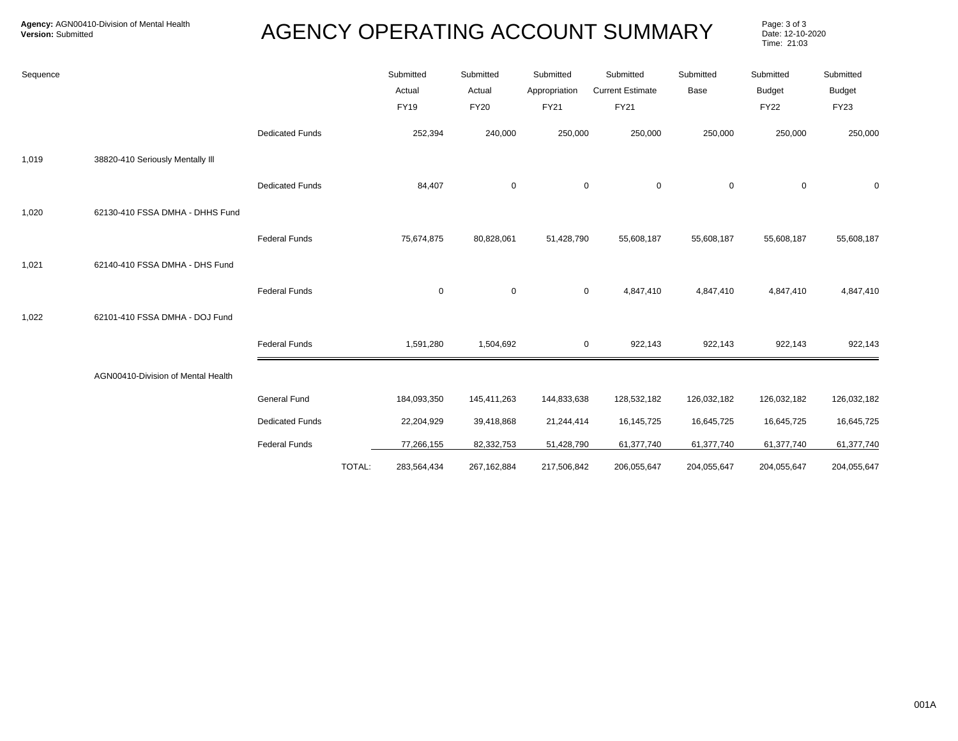| Sequence |                                    |                        |        | Submitted<br>Actual | Submitted<br>Actual | Submitted<br>Appropriation | Submitted<br><b>Current Estimate</b> | Submitted<br>Base | Submitted<br><b>Budget</b> | Submitted<br><b>Budget</b> |
|----------|------------------------------------|------------------------|--------|---------------------|---------------------|----------------------------|--------------------------------------|-------------------|----------------------------|----------------------------|
|          |                                    |                        |        | <b>FY19</b>         | <b>FY20</b>         | <b>FY21</b>                | <b>FY21</b>                          |                   | <b>FY22</b>                | <b>FY23</b>                |
|          |                                    | <b>Dedicated Funds</b> |        | 252,394             | 240,000             | 250,000                    | 250,000                              | 250,000           | 250,000                    | 250,000                    |
| 1,019    | 38820-410 Seriously Mentally III   |                        |        |                     |                     |                            |                                      |                   |                            |                            |
|          |                                    | <b>Dedicated Funds</b> |        | 84,407              | $\mathbf 0$         | $\mathbf 0$                | $\mathbf 0$                          | 0                 | $\mathbf 0$                | 0                          |
| 1,020    | 62130-410 FSSA DMHA - DHHS Fund    |                        |        |                     |                     |                            |                                      |                   |                            |                            |
|          |                                    | <b>Federal Funds</b>   |        | 75,674,875          | 80,828,061          | 51,428,790                 | 55,608,187                           | 55,608,187        | 55,608,187                 | 55,608,187                 |
| 1,021    | 62140-410 FSSA DMHA - DHS Fund     |                        |        |                     |                     |                            |                                      |                   |                            |                            |
|          |                                    | <b>Federal Funds</b>   |        | $\mathbf 0$         | $\pmb{0}$           | $\mathbf 0$                | 4,847,410                            | 4,847,410         | 4,847,410                  | 4,847,410                  |
| 1,022    | 62101-410 FSSA DMHA - DOJ Fund     |                        |        |                     |                     |                            |                                      |                   |                            |                            |
|          |                                    | <b>Federal Funds</b>   |        | 1,591,280           | 1,504,692           |                            | $\mathbf 0$<br>922,143               | 922,143           | 922,143                    | 922,143                    |
|          | AGN00410-Division of Mental Health |                        |        |                     |                     |                            |                                      |                   |                            |                            |
|          |                                    | General Fund           |        | 184,093,350         | 145,411,263         | 144,833,638                | 128,532,182                          | 126,032,182       | 126,032,182                | 126,032,182                |
|          |                                    | <b>Dedicated Funds</b> |        | 22,204,929          | 39,418,868          | 21,244,414                 | 16,145,725                           | 16,645,725        | 16,645,725                 | 16,645,725                 |
|          |                                    | <b>Federal Funds</b>   |        | 77,266,155          | 82,332,753          | 51,428,790                 | 61,377,740                           | 61,377,740        | 61,377,740                 | 61,377,740                 |
|          |                                    |                        | TOTAL: | 283,564,434         | 267, 162, 884       | 217,506,842                | 206,055,647                          | 204,055,647       | 204,055,647                | 204,055,647                |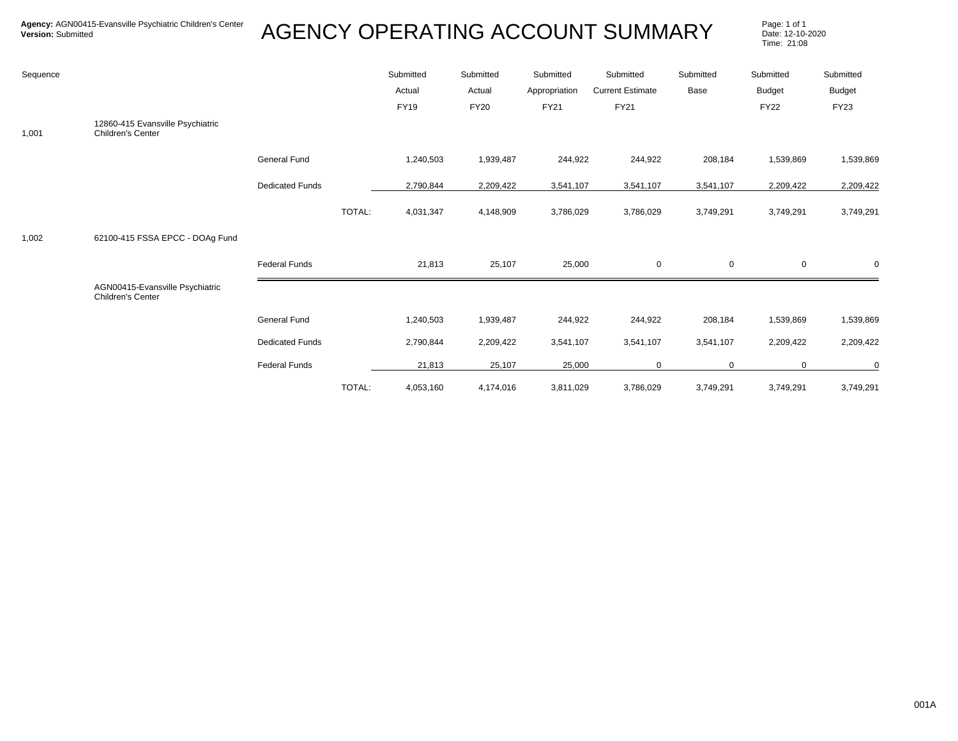| Sequence |                                                       |                        |        | Submitted<br>Actual<br>FY19 | Submitted<br>Actual<br><b>FY20</b> | Submitted<br>Appropriation<br>FY21 | Submitted<br><b>Current Estimate</b><br>FY21 | Submitted<br>Base | Submitted<br><b>Budget</b><br><b>FY22</b> | Submitted<br><b>Budget</b><br><b>FY23</b> |
|----------|-------------------------------------------------------|------------------------|--------|-----------------------------|------------------------------------|------------------------------------|----------------------------------------------|-------------------|-------------------------------------------|-------------------------------------------|
| 1,001    | 12860-415 Evansville Psychiatric<br>Children's Center |                        |        |                             |                                    |                                    |                                              |                   |                                           |                                           |
|          |                                                       | <b>General Fund</b>    |        | 1,240,503                   | 1,939,487                          | 244,922                            | 244,922                                      | 208,184           | 1,539,869                                 | 1,539,869                                 |
|          |                                                       | <b>Dedicated Funds</b> |        | 2,790,844                   | 2,209,422                          | 3,541,107                          | 3,541,107                                    | 3,541,107         | 2,209,422                                 | 2,209,422                                 |
|          |                                                       |                        | TOTAL: | 4,031,347                   | 4,148,909                          | 3,786,029                          | 3,786,029                                    | 3,749,291         | 3,749,291                                 | 3,749,291                                 |
| 1,002    | 62100-415 FSSA EPCC - DOAg Fund                       |                        |        |                             |                                    |                                    |                                              |                   |                                           |                                           |
|          |                                                       | <b>Federal Funds</b>   |        | 21,813                      | 25,107                             | 25,000                             | $\mathbf 0$                                  | $\mathbf 0$       | $\mathbf 0$                               | $\mathbf 0$                               |
|          | AGN00415-Evansville Psychiatric<br>Children's Center  |                        |        |                             |                                    |                                    |                                              |                   |                                           |                                           |
|          |                                                       | <b>General Fund</b>    |        | 1,240,503                   | 1,939,487                          | 244,922                            | 244,922                                      | 208,184           | 1,539,869                                 | 1,539,869                                 |
|          |                                                       | <b>Dedicated Funds</b> |        | 2,790,844                   | 2,209,422                          | 3,541,107                          | 3,541,107                                    | 3,541,107         | 2,209,422                                 | 2,209,422                                 |
|          |                                                       | <b>Federal Funds</b>   |        | 21,813                      | 25,107                             | 25,000                             | $\mathbf 0$                                  | $\Omega$          | 0                                         | 0                                         |
|          |                                                       |                        | TOTAL: | 4,053,160                   | 4,174,016                          | 3,811,029                          | 3,786,029                                    | 3,749,291         | 3,749,291                                 | 3,749,291                                 |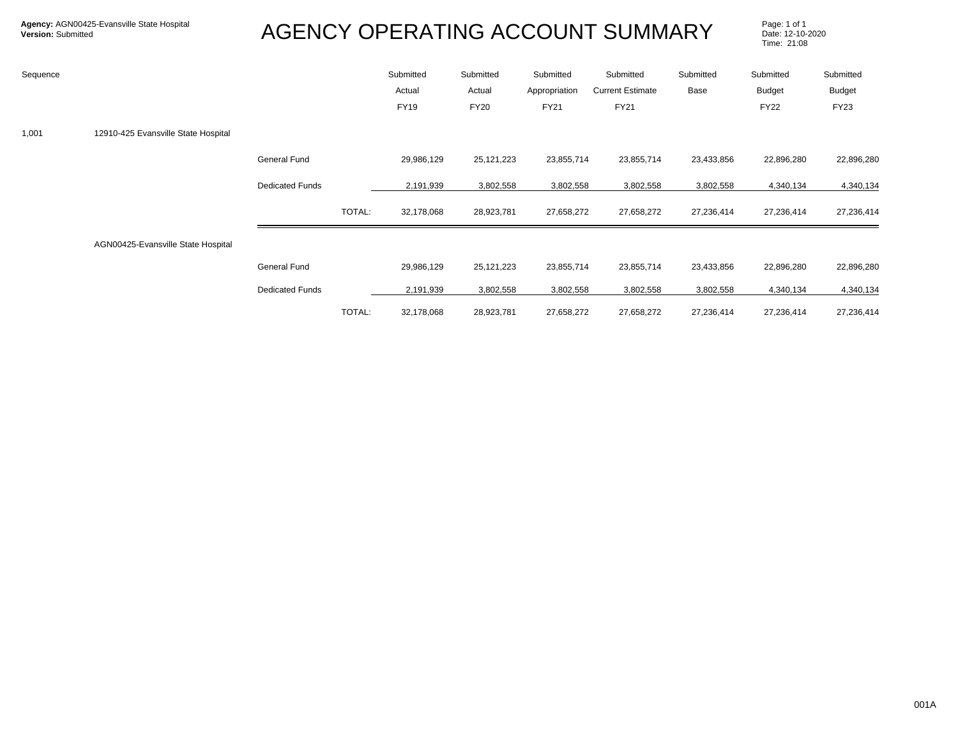| Sequence |                                     |                        |        | Submitted<br>Actual<br><b>FY19</b> | Submitted<br>Actual<br><b>FY20</b> | Submitted<br>Appropriation<br>FY21 | Submitted<br><b>Current Estimate</b><br>FY21 | Submitted<br>Base | Submitted<br><b>Budget</b><br><b>FY22</b> | Submitted<br><b>Budget</b><br><b>FY23</b> |
|----------|-------------------------------------|------------------------|--------|------------------------------------|------------------------------------|------------------------------------|----------------------------------------------|-------------------|-------------------------------------------|-------------------------------------------|
| 1,001    | 12910-425 Evansville State Hospital |                        |        |                                    |                                    |                                    |                                              |                   |                                           |                                           |
|          |                                     | <b>General Fund</b>    |        | 29,986,129                         | 25, 121, 223                       | 23,855,714                         | 23,855,714                                   | 23,433,856        | 22,896,280                                | 22,896,280                                |
|          |                                     | <b>Dedicated Funds</b> |        | 2,191,939                          | 3,802,558                          | 3,802,558                          | 3,802,558                                    | 3,802,558         | 4,340,134                                 | 4,340,134                                 |
|          |                                     |                        | TOTAL: | 32,178,068                         | 28,923,781                         | 27,658,272                         | 27,658,272                                   | 27,236,414        | 27,236,414                                | 27,236,414                                |
|          | AGN00425-Evansville State Hospital  |                        |        |                                    |                                    |                                    |                                              |                   |                                           |                                           |
|          |                                     | <b>General Fund</b>    |        | 29,986,129                         | 25, 121, 223                       | 23,855,714                         | 23,855,714                                   | 23,433,856        | 22,896,280                                | 22,896,280                                |
|          |                                     | <b>Dedicated Funds</b> |        | 2,191,939                          | 3,802,558                          | 3,802,558                          | 3,802,558                                    | 3,802,558         | 4,340,134                                 | 4,340,134                                 |
|          |                                     |                        | TOTAL: | 32,178,068                         | 28,923,781                         | 27,658,272                         | 27,658,272                                   | 27,236,414        | 27,236,414                                | 27,236,414                                |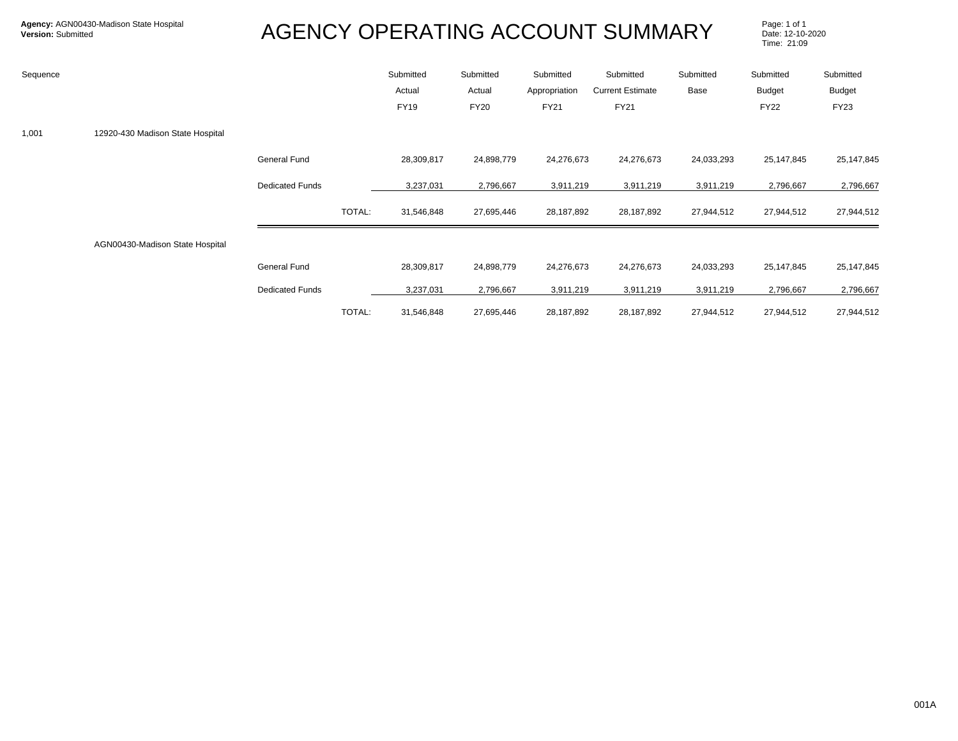| Sequence |                                  |                        |        | Submitted<br>Actual<br><b>FY19</b> | Submitted<br>Actual<br><b>FY20</b> | Submitted<br>Appropriation<br>FY21 | Submitted<br><b>Current Estimate</b><br>FY21 | Submitted<br>Base | Submitted<br><b>Budget</b><br><b>FY22</b> | Submitted<br>Budget<br><b>FY23</b> |
|----------|----------------------------------|------------------------|--------|------------------------------------|------------------------------------|------------------------------------|----------------------------------------------|-------------------|-------------------------------------------|------------------------------------|
| 1,001    | 12920-430 Madison State Hospital |                        |        |                                    |                                    |                                    |                                              |                   |                                           |                                    |
|          |                                  | <b>General Fund</b>    |        | 28,309,817                         | 24,898,779                         | 24,276,673                         | 24,276,673                                   | 24,033,293        | 25,147,845                                | 25,147,845                         |
|          |                                  | <b>Dedicated Funds</b> |        | 3,237,031                          | 2,796,667                          | 3,911,219                          | 3,911,219                                    | 3,911,219         | 2,796,667                                 | 2,796,667                          |
|          |                                  |                        | TOTAL: | 31,546,848                         | 27,695,446                         | 28,187,892                         | 28,187,892                                   | 27,944,512        | 27,944,512                                | 27,944,512                         |
|          | AGN00430-Madison State Hospital  |                        |        |                                    |                                    |                                    |                                              |                   |                                           |                                    |
|          |                                  | <b>General Fund</b>    |        | 28,309,817                         | 24,898,779                         | 24,276,673                         | 24,276,673                                   | 24,033,293        | 25,147,845                                | 25,147,845                         |
|          |                                  | <b>Dedicated Funds</b> |        | 3,237,031                          | 2,796,667                          | 3,911,219                          | 3,911,219                                    | 3,911,219         | 2,796,667                                 | 2,796,667                          |
|          |                                  |                        | TOTAL: | 31,546,848                         | 27,695,446                         | 28,187,892                         | 28,187,892                                   | 27,944,512        | 27,944,512                                | 27,944,512                         |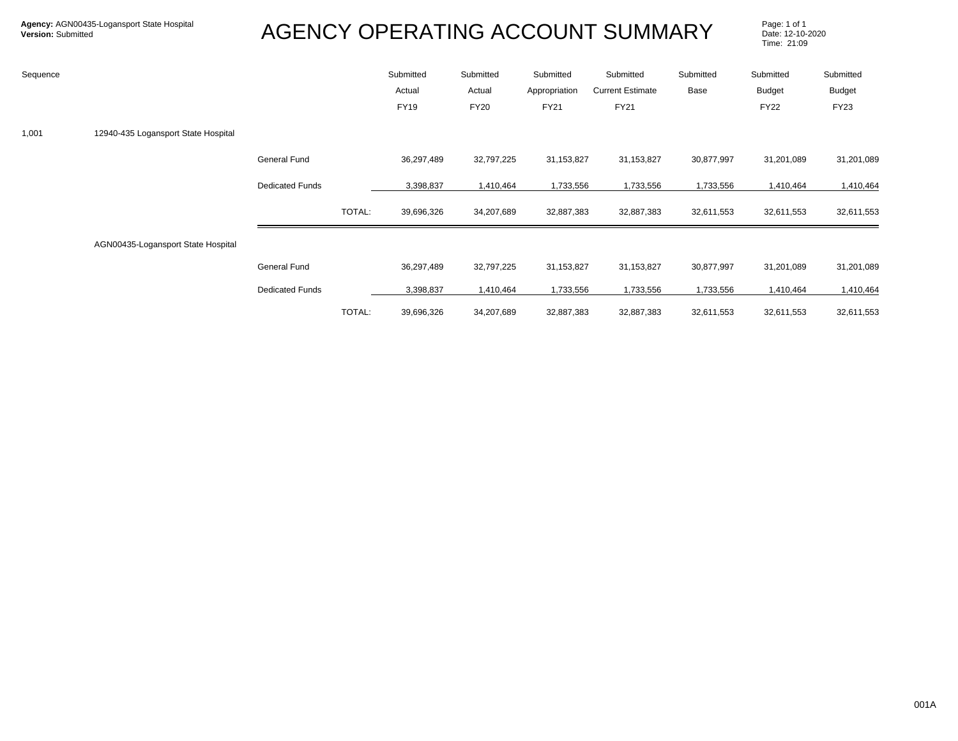| Sequence |                                     |                        |        | Submitted<br>Actual<br><b>FY19</b> | Submitted<br>Actual<br><b>FY20</b> | Submitted<br>Appropriation<br>FY21 | Submitted<br><b>Current Estimate</b><br>FY21 | Submitted<br>Base | Submitted<br>Budget<br><b>FY22</b> | Submitted<br>Budget<br><b>FY23</b> |
|----------|-------------------------------------|------------------------|--------|------------------------------------|------------------------------------|------------------------------------|----------------------------------------------|-------------------|------------------------------------|------------------------------------|
| 1,001    | 12940-435 Logansport State Hospital |                        |        |                                    |                                    |                                    |                                              |                   |                                    |                                    |
|          |                                     | <b>General Fund</b>    |        | 36,297,489                         | 32,797,225                         | 31,153,827                         | 31,153,827                                   | 30,877,997        | 31,201,089                         | 31,201,089                         |
|          |                                     | <b>Dedicated Funds</b> |        | 3,398,837                          | 1,410,464                          | 1,733,556                          | 1,733,556                                    | 1,733,556         | 1,410,464                          | 1,410,464                          |
|          |                                     |                        | TOTAL: | 39,696,326                         | 34,207,689                         | 32,887,383                         | 32,887,383                                   | 32,611,553        | 32,611,553                         | 32,611,553                         |
|          | AGN00435-Logansport State Hospital  |                        |        |                                    |                                    |                                    |                                              |                   |                                    |                                    |
|          |                                     | <b>General Fund</b>    |        | 36,297,489                         | 32,797,225                         | 31,153,827                         | 31,153,827                                   | 30,877,997        | 31,201,089                         | 31,201,089                         |
|          |                                     | <b>Dedicated Funds</b> |        | 3,398,837                          | 1,410,464                          | 1,733,556                          | 1,733,556                                    | 1,733,556         | 1,410,464                          | 1,410,464                          |
|          |                                     |                        | TOTAL: | 39,696,326                         | 34,207,689                         | 32,887,383                         | 32,887,383                                   | 32,611,553        | 32,611,553                         | 32,611,553                         |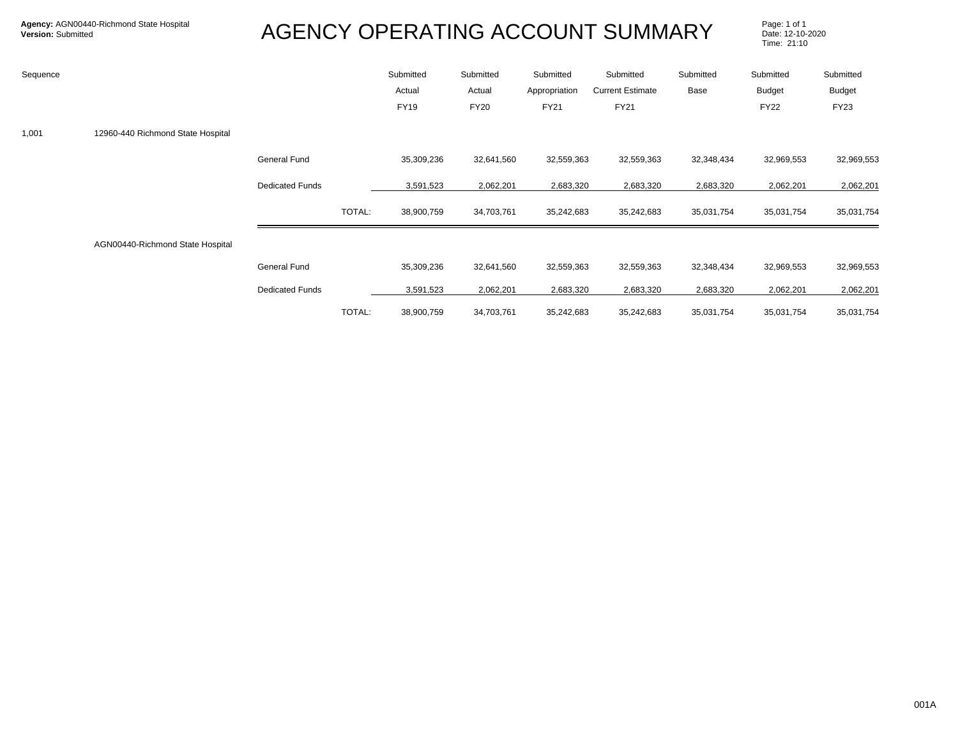| Sequence |                                   |                        |        | Submitted<br>Actual<br><b>FY19</b> | Submitted<br>Actual<br><b>FY20</b> | Submitted<br>Appropriation<br>FY21 | Submitted<br><b>Current Estimate</b><br>FY21 | Submitted<br>Base | Submitted<br><b>Budget</b><br><b>FY22</b> | Submitted<br>Budget<br><b>FY23</b> |
|----------|-----------------------------------|------------------------|--------|------------------------------------|------------------------------------|------------------------------------|----------------------------------------------|-------------------|-------------------------------------------|------------------------------------|
| 1,001    | 12960-440 Richmond State Hospital |                        |        |                                    |                                    |                                    |                                              |                   |                                           |                                    |
|          |                                   | General Fund           |        | 35,309,236                         | 32,641,560                         | 32,559,363                         | 32,559,363                                   | 32,348,434        | 32,969,553                                | 32,969,553                         |
|          |                                   | <b>Dedicated Funds</b> |        | 3,591,523                          | 2,062,201                          | 2,683,320                          | 2,683,320                                    | 2,683,320         | 2,062,201                                 | 2,062,201                          |
|          |                                   |                        | TOTAL: | 38,900,759                         | 34,703,761                         | 35,242,683                         | 35,242,683                                   | 35,031,754        | 35,031,754                                | 35,031,754                         |
|          | AGN00440-Richmond State Hospital  |                        |        |                                    |                                    |                                    |                                              |                   |                                           |                                    |
|          |                                   | General Fund           |        | 35,309,236                         | 32,641,560                         | 32,559,363                         | 32,559,363                                   | 32,348,434        | 32,969,553                                | 32,969,553                         |
|          |                                   | <b>Dedicated Funds</b> |        | 3,591,523                          | 2,062,201                          | 2,683,320                          | 2,683,320                                    | 2,683,320         | 2,062,201                                 | 2,062,201                          |
|          |                                   |                        | TOTAL: | 38,900,759                         | 34,703,761                         | 35,242,683                         | 35,242,683                                   | 35,031,754        | 35,031,754                                | 35,031,754                         |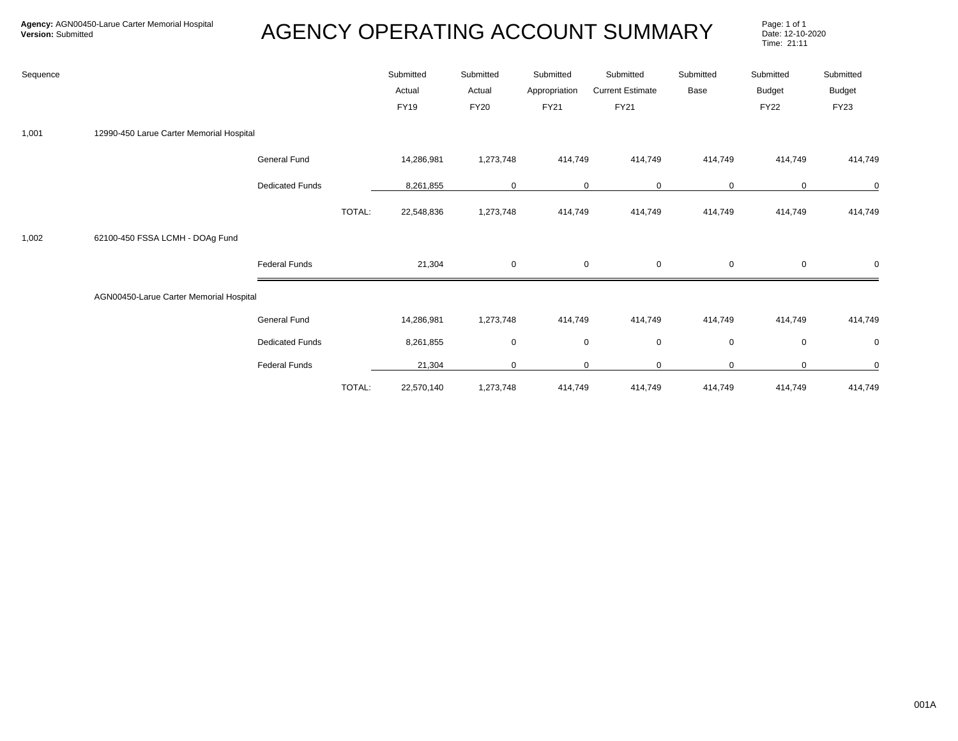| Sequence |                                          |                        |        | Submitted<br>Actual<br>FY19 | Submitted<br>Actual<br><b>FY20</b> | Submitted<br>Appropriation<br>FY21 | Submitted<br><b>Current Estimate</b><br><b>FY21</b> | Submitted<br>Base | Submitted<br><b>Budget</b><br><b>FY22</b> | Submitted<br><b>Budget</b><br><b>FY23</b> |
|----------|------------------------------------------|------------------------|--------|-----------------------------|------------------------------------|------------------------------------|-----------------------------------------------------|-------------------|-------------------------------------------|-------------------------------------------|
| 1,001    | 12990-450 Larue Carter Memorial Hospital |                        |        |                             |                                    |                                    |                                                     |                   |                                           |                                           |
|          |                                          | General Fund           |        | 14,286,981                  | 1,273,748                          | 414,749                            | 414,749                                             | 414,749           | 414,749                                   | 414,749                                   |
|          |                                          | <b>Dedicated Funds</b> |        | 8,261,855                   | $\Omega$                           |                                    | $\mathbf 0$<br>0                                    | $\mathbf 0$       | 0                                         | $\mathbf 0$                               |
|          |                                          |                        | TOTAL: | 22,548,836                  | 1,273,748                          | 414,749                            | 414,749                                             | 414,749           | 414,749                                   | 414,749                                   |
| 1,002    | 62100-450 FSSA LCMH - DOAg Fund          |                        |        |                             |                                    |                                    |                                                     |                   |                                           |                                           |
|          |                                          | <b>Federal Funds</b>   |        | 21,304                      | $\overline{0}$                     |                                    | $\mathsf 0$<br>$\mathbf 0$                          | $\mathsf 0$       | 0                                         | $\mathbf 0$                               |
|          | AGN00450-Larue Carter Memorial Hospital  |                        |        |                             |                                    |                                    |                                                     |                   |                                           |                                           |
|          |                                          | <b>General Fund</b>    |        | 14,286,981                  | 1,273,748                          | 414,749                            | 414,749                                             | 414,749           | 414,749                                   | 414,749                                   |
|          |                                          | <b>Dedicated Funds</b> |        | 8,261,855                   | $\mathbf 0$                        |                                    | 0<br>$\mathbf 0$                                    | $\mathbf 0$       | 0                                         | $\mathbf 0$                               |
|          |                                          | <b>Federal Funds</b>   |        | 21,304                      | $\mathbf 0$                        |                                    | $\mathbf 0$<br>$\mathbf 0$                          | 0                 | 0                                         | $\mathbf 0$                               |
|          |                                          |                        | TOTAL: | 22,570,140                  | 1,273,748                          | 414,749                            | 414,749                                             | 414,749           | 414,749                                   | 414,749                                   |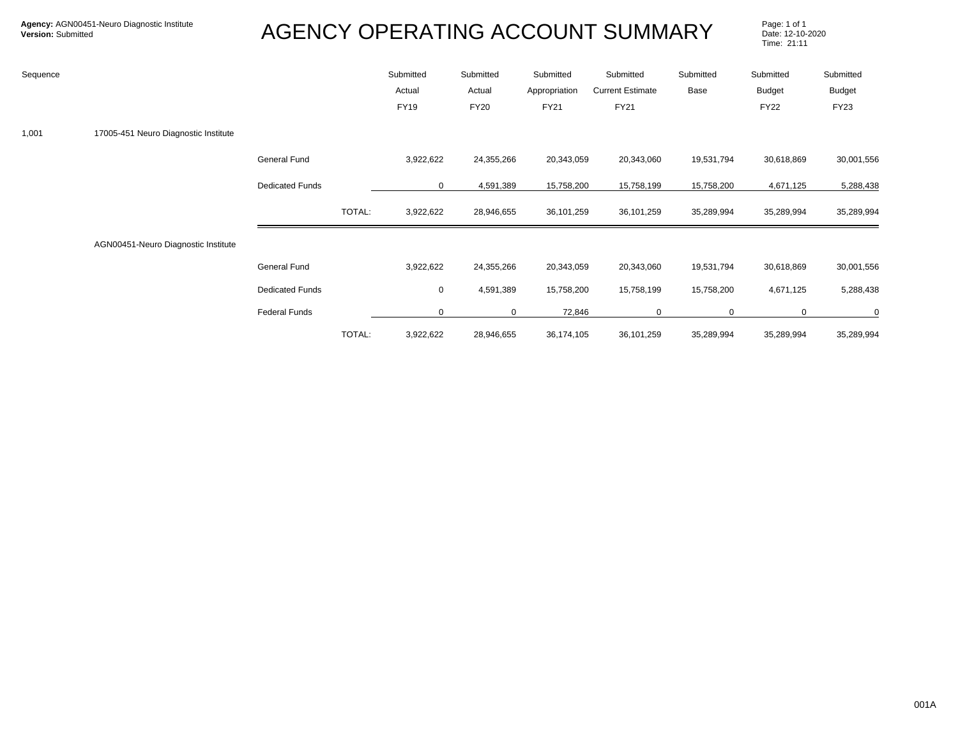| Sequence |                                      |                        |        | Submitted<br>Actual<br><b>FY19</b> | Submitted<br>Actual<br><b>FY20</b> | Submitted<br>Appropriation<br><b>FY21</b> | Submitted<br><b>Current Estimate</b><br><b>FY21</b> | Submitted<br>Base | Submitted<br>Budget<br><b>FY22</b> | Submitted<br>Budget<br><b>FY23</b> |
|----------|--------------------------------------|------------------------|--------|------------------------------------|------------------------------------|-------------------------------------------|-----------------------------------------------------|-------------------|------------------------------------|------------------------------------|
| 1,001    | 17005-451 Neuro Diagnostic Institute |                        |        |                                    |                                    |                                           |                                                     |                   |                                    |                                    |
|          |                                      | General Fund           |        | 3,922,622                          | 24,355,266                         | 20,343,059                                | 20,343,060                                          | 19,531,794        | 30,618,869                         | 30,001,556                         |
|          |                                      | <b>Dedicated Funds</b> |        | 0                                  | 4,591,389                          | 15,758,200                                | 15,758,199                                          | 15,758,200        | 4,671,125                          | 5,288,438                          |
|          |                                      |                        | TOTAL: | 3,922,622                          | 28,946,655                         | 36,101,259                                | 36,101,259                                          | 35,289,994        | 35,289,994                         | 35,289,994                         |
|          | AGN00451-Neuro Diagnostic Institute  |                        |        |                                    |                                    |                                           |                                                     |                   |                                    |                                    |
|          |                                      | <b>General Fund</b>    |        | 3,922,622                          | 24,355,266                         | 20,343,059                                | 20,343,060                                          | 19,531,794        | 30,618,869                         | 30,001,556                         |
|          |                                      | <b>Dedicated Funds</b> |        | 0                                  | 4,591,389                          | 15,758,200                                | 15,758,199                                          | 15,758,200        | 4,671,125                          | 5,288,438                          |
|          |                                      | <b>Federal Funds</b>   |        | 0                                  | 0                                  | 72,846                                    | $\mathbf 0$                                         | 0                 | 0                                  | 0                                  |
|          |                                      |                        | TOTAL: | 3,922,622                          | 28,946,655                         | 36,174,105                                | 36,101,259                                          | 35,289,994        | 35,289,994                         | 35,289,994                         |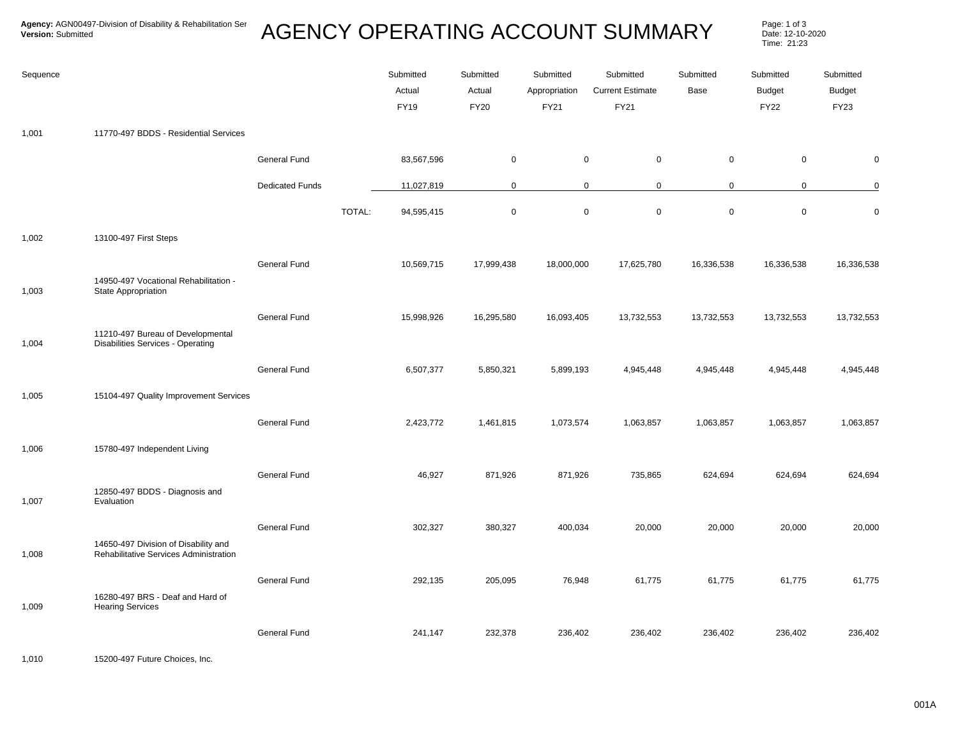Page: 1 of 3<br>Date: 12-10-2020 Time: 21:23

| Sequence |                                                                                |                        |        | Submitted<br>Actual<br><b>FY19</b> | Submitted<br>Actual<br><b>FY20</b> | Submitted<br>Appropriation<br>FY21 | Submitted<br><b>Current Estimate</b><br>FY21 | Submitted<br>Base | Submitted<br><b>Budget</b><br><b>FY22</b> | Submitted<br><b>Budget</b><br><b>FY23</b> |
|----------|--------------------------------------------------------------------------------|------------------------|--------|------------------------------------|------------------------------------|------------------------------------|----------------------------------------------|-------------------|-------------------------------------------|-------------------------------------------|
| 1,001    | 11770-497 BDDS - Residential Services                                          |                        |        |                                    |                                    |                                    |                                              |                   |                                           |                                           |
|          |                                                                                | General Fund           |        | 83,567,596                         | $\mathbf 0$                        | $\mathbf 0$                        | $\mathbf 0$                                  | $\mathbf 0$       | 0                                         | $\mathbf 0$                               |
|          |                                                                                | <b>Dedicated Funds</b> |        | 11,027,819                         | $\mathbf 0$                        |                                    | $\mathsf{O}$<br>$\mathbf 0$                  | $\mathbf 0$       | 0                                         | $\mathbf 0$                               |
|          |                                                                                |                        | TOTAL: | 94,595,415                         | $\mathbf 0$                        | $\pmb{0}$                          | $\pmb{0}$                                    | $\mathbf 0$       | $\mathsf{O}\xspace$                       | $\mathbf 0$                               |
| 1,002    | 13100-497 First Steps                                                          |                        |        |                                    |                                    |                                    |                                              |                   |                                           |                                           |
| 1,003    | 14950-497 Vocational Rehabilitation -<br>State Appropriation                   | <b>General Fund</b>    |        | 10,569,715                         | 17,999,438                         | 18,000,000                         | 17,625,780                                   | 16,336,538        | 16,336,538                                | 16,336,538                                |
|          |                                                                                | General Fund           |        | 15,998,926                         | 16,295,580                         | 16,093,405                         | 13,732,553                                   | 13,732,553        | 13,732,553                                | 13,732,553                                |
| 1,004    | 11210-497 Bureau of Developmental<br>Disabilities Services - Operating         |                        |        |                                    |                                    |                                    |                                              |                   |                                           |                                           |
|          |                                                                                | General Fund           |        | 6,507,377                          | 5,850,321                          | 5,899,193                          | 4,945,448                                    | 4,945,448         | 4,945,448                                 | 4,945,448                                 |
| 1,005    | 15104-497 Quality Improvement Services                                         |                        |        |                                    |                                    |                                    |                                              |                   |                                           |                                           |
|          |                                                                                | General Fund           |        | 2,423,772                          | 1,461,815                          | 1,073,574                          | 1,063,857                                    | 1,063,857         | 1,063,857                                 | 1,063,857                                 |
| 1,006    | 15780-497 Independent Living                                                   |                        |        |                                    |                                    |                                    |                                              |                   |                                           |                                           |
| 1,007    | 12850-497 BDDS - Diagnosis and<br>Evaluation                                   | General Fund           |        | 46,927                             | 871,926                            | 871,926                            | 735,865                                      | 624,694           | 624,694                                   | 624,694                                   |
|          |                                                                                | General Fund           |        | 302,327                            | 380,327                            | 400,034                            | 20,000                                       | 20,000            | 20,000                                    | 20,000                                    |
| 1,008    | 14650-497 Division of Disability and<br>Rehabilitative Services Administration |                        |        |                                    |                                    |                                    |                                              |                   |                                           |                                           |
|          | 16280-497 BRS - Deaf and Hard of                                               | <b>General Fund</b>    |        | 292,135                            | 205,095                            | 76,948                             | 61,775                                       | 61,775            | 61,775                                    | 61,775                                    |
| 1,009    | <b>Hearing Services</b>                                                        |                        |        |                                    |                                    |                                    |                                              |                   |                                           |                                           |
|          |                                                                                | General Fund           |        | 241,147                            | 232,378                            | 236,402                            | 236,402                                      | 236,402           | 236,402                                   | 236,402                                   |

1,010 15200-497 Future Choices, Inc.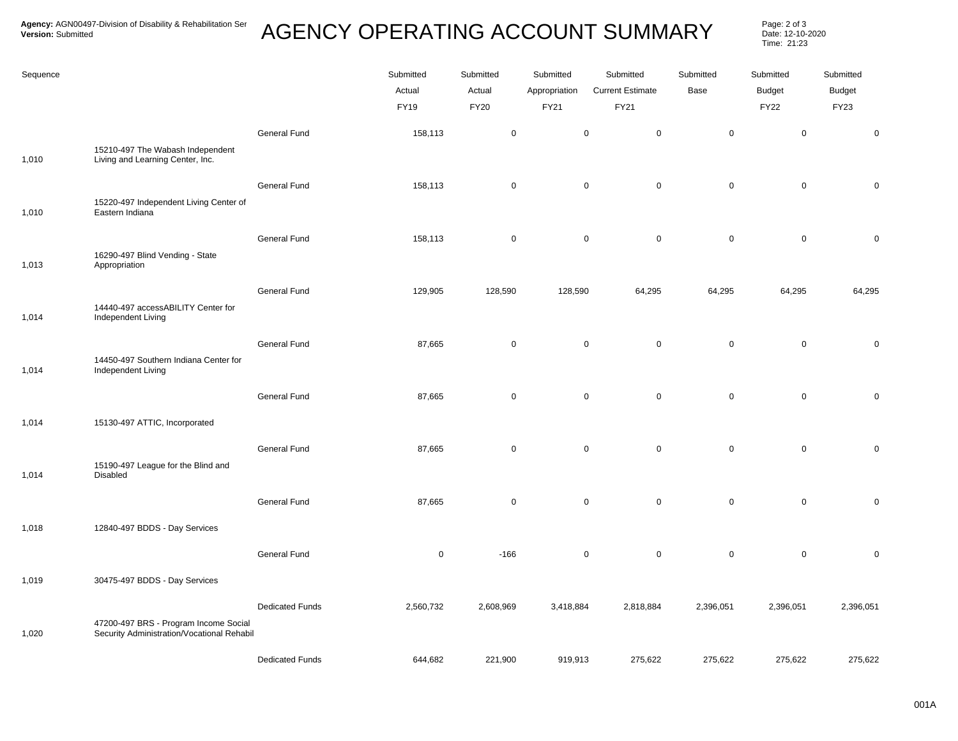## AGENCY OPERATING ACCOUNT SUMMARY Page: 2 of 3

Date: 12-10-2020 Time: 21:23

| Sequence |                                                                                     |                        | Submitted<br>Actual<br><b>FY19</b> | Submitted<br>Actual<br><b>FY20</b> | Submitted<br>Appropriation<br>FY21 | Submitted<br><b>Current Estimate</b><br>FY21 | Submitted<br>Base | Submitted<br><b>Budget</b><br><b>FY22</b> | Submitted<br><b>Budget</b><br><b>FY23</b> |
|----------|-------------------------------------------------------------------------------------|------------------------|------------------------------------|------------------------------------|------------------------------------|----------------------------------------------|-------------------|-------------------------------------------|-------------------------------------------|
| 1,010    | 15210-497 The Wabash Independent<br>Living and Learning Center, Inc.                | General Fund           | 158,113                            | $\pmb{0}$                          | $\mathbf 0$                        | $\mathbf 0$                                  | $\mathsf 0$       | $\mathbf 0$                               | $\pmb{0}$                                 |
|          | 15220-497 Independent Living Center of                                              | General Fund           | 158,113                            | $\mathbf 0$                        | $\mathbf 0$                        | $\mathsf 0$                                  | $\mathsf 0$       | $\mathbf 0$                               | $\mathbf 0$                               |
| 1,010    | Eastern Indiana                                                                     | General Fund           | 158,113                            | $\mathbf 0$                        | $\mathbf 0$                        | 0                                            | 0                 | $\mathbf 0$                               | $\pmb{0}$                                 |
| 1,013    | 16290-497 Blind Vending - State<br>Appropriation                                    |                        |                                    |                                    |                                    |                                              |                   |                                           |                                           |
| 1,014    | 14440-497 accessABILITY Center for<br>Independent Living                            | General Fund           | 129,905                            | 128,590                            | 128,590                            | 64,295                                       | 64,295            | 64,295                                    | 64,295                                    |
| 1,014    | 14450-497 Southern Indiana Center for<br>Independent Living                         | General Fund           | 87,665                             | $\mathbf 0$                        | $\mathbf 0$                        | 0                                            | $\mathbf 0$       | $\mathbf 0$                               | $\pmb{0}$                                 |
|          |                                                                                     | General Fund           | 87,665                             | $\mathbf 0$                        | $\mathbf 0$                        | $\mathbf 0$                                  | $\pmb{0}$         | $\mathsf 0$                               | $\mathbf 0$                               |
| 1,014    | 15130-497 ATTIC, Incorporated                                                       | General Fund           | 87,665                             | $\mathbf 0$                        | $\mathbf 0$                        | $\mathbf 0$                                  | $\pmb{0}$         | $\mathbf 0$                               | $\pmb{0}$                                 |
| 1,014    | 15190-497 League for the Blind and<br>Disabled                                      |                        |                                    |                                    |                                    |                                              |                   |                                           |                                           |
| 1,018    | 12840-497 BDDS - Day Services                                                       | General Fund           | 87,665                             | $\mathbf 0$                        | $\mathsf 0$                        | $\mathbf 0$                                  | $\pmb{0}$         | $\mathbf 0$                               | $\pmb{0}$                                 |
|          |                                                                                     | General Fund           | $\mathbf 0$                        | $-166$                             | $\mathbf 0$                        | $\mathbf 0$                                  | $\pmb{0}$         | $\mathbf 0$                               | $\pmb{0}$                                 |
| 1,019    | 30475-497 BDDS - Day Services                                                       |                        |                                    |                                    |                                    |                                              |                   |                                           |                                           |
| 1,020    | 47200-497 BRS - Program Income Social<br>Security Administration/Vocational Rehabil | <b>Dedicated Funds</b> | 2,560,732                          | 2,608,969                          | 3,418,884                          | 2,818,884                                    | 2,396,051         | 2,396,051                                 | 2,396,051                                 |
|          |                                                                                     | <b>Dedicated Funds</b> | 644,682                            | 221,900                            | 919,913                            | 275,622                                      | 275,622           | 275,622                                   | 275,622                                   |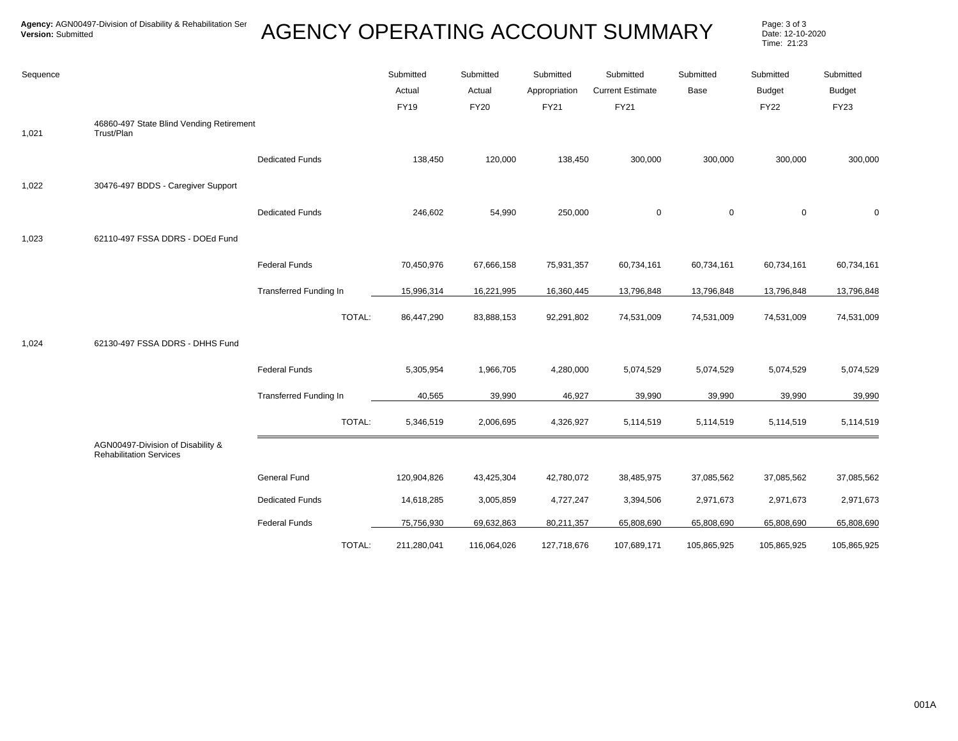| Sequence |                                                                     |                               | Submitted<br>Actual<br><b>FY19</b> | Submitted<br>Actual<br><b>FY20</b> | Submitted<br>Appropriation<br><b>FY21</b> | Submitted<br><b>Current Estimate</b><br><b>FY21</b> | Submitted<br>Base | Submitted<br><b>Budget</b><br><b>FY22</b> | Submitted<br>Budget<br><b>FY23</b> |
|----------|---------------------------------------------------------------------|-------------------------------|------------------------------------|------------------------------------|-------------------------------------------|-----------------------------------------------------|-------------------|-------------------------------------------|------------------------------------|
| 1,021    | 46860-497 State Blind Vending Retirement<br>Trust/Plan              |                               |                                    |                                    |                                           |                                                     |                   |                                           |                                    |
|          |                                                                     | <b>Dedicated Funds</b>        | 138,450                            | 120,000                            | 138,450                                   | 300,000                                             | 300,000           | 300,000                                   | 300,000                            |
| 1,022    | 30476-497 BDDS - Caregiver Support                                  |                               |                                    |                                    |                                           |                                                     |                   |                                           |                                    |
|          |                                                                     | <b>Dedicated Funds</b>        | 246,602                            | 54,990                             | 250,000                                   | $\mathbf 0$                                         | $\mathbf 0$       | $\mathbf 0$                               | 0                                  |
| 1,023    | 62110-497 FSSA DDRS - DOEd Fund                                     |                               |                                    |                                    |                                           |                                                     |                   |                                           |                                    |
|          |                                                                     | <b>Federal Funds</b>          | 70,450,976                         | 67,666,158                         | 75,931,357                                | 60,734,161                                          | 60,734,161        | 60,734,161                                | 60,734,161                         |
|          |                                                                     | <b>Transferred Funding In</b> | 15,996,314                         | 16,221,995                         | 16,360,445                                | 13,796,848                                          | 13,796,848        | 13,796,848                                | 13,796,848                         |
|          |                                                                     | TOTAL:                        | 86,447,290                         | 83,888,153                         | 92,291,802                                | 74,531,009                                          | 74,531,009        | 74,531,009                                | 74,531,009                         |
| 1,024    | 62130-497 FSSA DDRS - DHHS Fund                                     |                               |                                    |                                    |                                           |                                                     |                   |                                           |                                    |
|          |                                                                     | <b>Federal Funds</b>          | 5,305,954                          | 1,966,705                          | 4,280,000                                 | 5,074,529                                           | 5,074,529         | 5,074,529                                 | 5,074,529                          |
|          |                                                                     | <b>Transferred Funding In</b> | 40,565                             | 39,990                             | 46,927                                    | 39,990                                              | 39,990            | 39,990                                    | 39,990                             |
|          |                                                                     | TOTAL:                        | 5,346,519                          | 2,006,695                          | 4,326,927                                 | 5,114,519                                           | 5,114,519         | 5,114,519                                 | 5,114,519                          |
|          | AGN00497-Division of Disability &<br><b>Rehabilitation Services</b> |                               |                                    |                                    |                                           |                                                     |                   |                                           |                                    |
|          |                                                                     | General Fund                  | 120,904,826                        | 43,425,304                         | 42,780,072                                | 38,485,975                                          | 37,085,562        | 37,085,562                                | 37,085,562                         |
|          |                                                                     | <b>Dedicated Funds</b>        | 14,618,285                         | 3,005,859                          | 4,727,247                                 | 3,394,506                                           | 2,971,673         | 2,971,673                                 | 2,971,673                          |
|          |                                                                     | <b>Federal Funds</b>          | 75,756,930                         | 69,632,863                         | 80,211,357                                | 65,808,690                                          | 65,808,690        | 65,808,690                                | 65,808,690                         |
|          |                                                                     | TOTAL:                        | 211,280,041                        | 116,064,026                        | 127,718,676                               | 107,689,171                                         | 105,865,925       | 105,865,925                               | 105,865,925                        |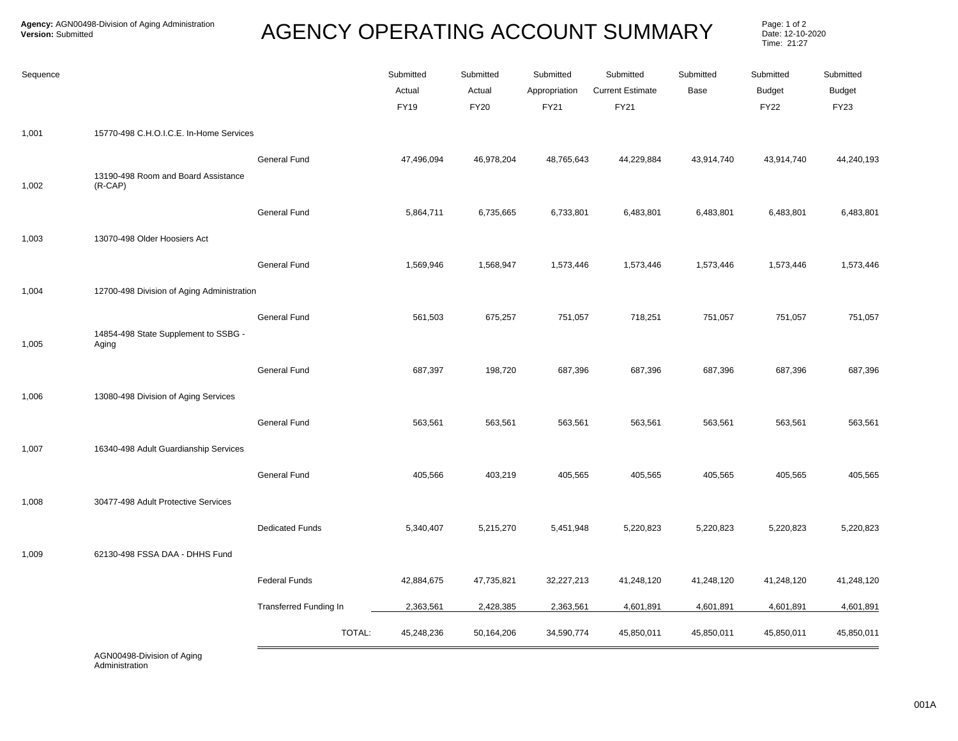Page: 1 of 2<br>Date: 12-10-2020 Time: 21:27

| 15770-498 C.H.O.I.C.E. In-Home Services<br>1,001<br><b>General Fund</b><br>47,496,094<br>46,978,204<br>48,765,643<br>44,229,884<br>43,914,740<br>43,914,740<br>13190-498 Room and Board Assistance<br>$(R-CAP)$<br>1,002<br>General Fund<br>5,864,711<br>6,483,801<br>6,483,801<br>6,735,665<br>6,733,801<br>6,483,801<br>13070-498 Older Hoosiers Act<br>1,003 | Submitted<br>Budget<br><b>FY23</b> |
|-----------------------------------------------------------------------------------------------------------------------------------------------------------------------------------------------------------------------------------------------------------------------------------------------------------------------------------------------------------------|------------------------------------|
|                                                                                                                                                                                                                                                                                                                                                                 |                                    |
|                                                                                                                                                                                                                                                                                                                                                                 | 44,240,193                         |
|                                                                                                                                                                                                                                                                                                                                                                 | 6,483,801                          |
|                                                                                                                                                                                                                                                                                                                                                                 |                                    |
| General Fund<br>1,573,446<br>1,569,946<br>1,568,947<br>1,573,446<br>1,573,446<br>1,573,446                                                                                                                                                                                                                                                                      | 1,573,446                          |
| 12700-498 Division of Aging Administration<br>1,004                                                                                                                                                                                                                                                                                                             |                                    |
| General Fund<br>561,503<br>675,257<br>751,057<br>718,251<br>751,057<br>751,057<br>14854-498 State Supplement to SSBG -<br>1,005<br>Aging                                                                                                                                                                                                                        | 751,057                            |
| General Fund<br>687,397<br>198,720<br>687,396<br>687,396<br>687,396<br>687,396                                                                                                                                                                                                                                                                                  | 687,396                            |
| 1,006<br>13080-498 Division of Aging Services                                                                                                                                                                                                                                                                                                                   |                                    |
| General Fund<br>563,561<br>563,561<br>563,561<br>563,561<br>563,561<br>563,561                                                                                                                                                                                                                                                                                  | 563,561                            |
| 1,007<br>16340-498 Adult Guardianship Services                                                                                                                                                                                                                                                                                                                  |                                    |
| General Fund<br>405,566<br>403,219<br>405,565<br>405,565<br>405,565<br>405,565                                                                                                                                                                                                                                                                                  | 405,565                            |
| 30477-498 Adult Protective Services<br>1,008                                                                                                                                                                                                                                                                                                                    |                                    |
| <b>Dedicated Funds</b><br>5,340,407<br>5,215,270<br>5,451,948<br>5,220,823<br>5,220,823<br>5,220,823                                                                                                                                                                                                                                                            | 5,220,823                          |
| 62130-498 FSSA DAA - DHHS Fund<br>1,009                                                                                                                                                                                                                                                                                                                         |                                    |
| <b>Federal Funds</b><br>42,884,675<br>47,735,821<br>32,227,213<br>41,248,120<br>41,248,120<br>41,248,120                                                                                                                                                                                                                                                        | 41,248,120                         |
| <b>Transferred Funding In</b><br>2,363,561<br>2,428,385<br>2,363,561<br>4,601,891<br>4,601,891<br>4,601,891                                                                                                                                                                                                                                                     | 4,601,891                          |
| TOTAL:<br>45,248,236<br>50,164,206<br>34,590,774<br>45,850,011<br>45,850,011<br>45,850,011                                                                                                                                                                                                                                                                      | 45,850,011                         |

AGN00498-Division of Aging Administration No Funding Type 0 0 0 0 0 0 0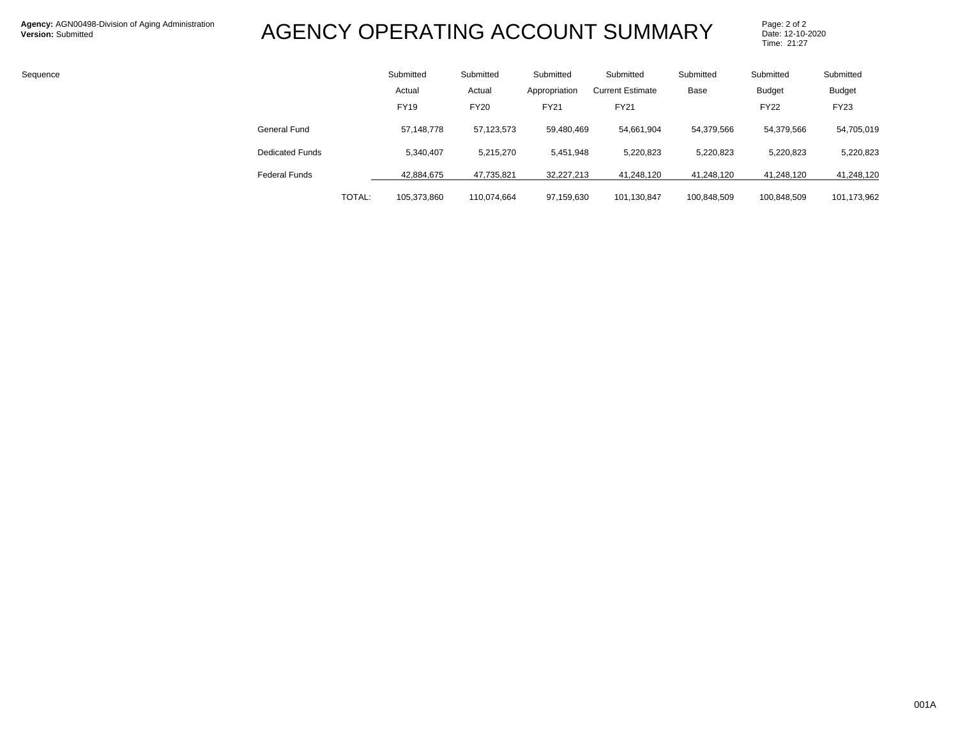| Sequence |                        | Submitted   | Submitted   | Submitted     | Submitted               | Submitted   | Submitted     | Submitted     |
|----------|------------------------|-------------|-------------|---------------|-------------------------|-------------|---------------|---------------|
|          |                        | Actual      | Actual      | Appropriation | <b>Current Estimate</b> | Base        | <b>Budget</b> | <b>Budget</b> |
|          |                        | <b>FY19</b> | <b>FY20</b> | <b>FY21</b>   | <b>FY21</b>             |             | <b>FY22</b>   | <b>FY23</b>   |
|          | General Fund           | 57,148,778  | 57,123,573  | 59,480,469    | 54,661,904              | 54,379,566  | 54,379,566    | 54,705,019    |
|          | <b>Dedicated Funds</b> | 5,340,407   | 5,215,270   | 5,451,948     | 5,220,823               | 5,220,823   | 5,220,823     | 5,220,823     |
|          | <b>Federal Funds</b>   | 42,884,675  | 47,735,821  | 32,227,213    | 41,248,120              | 41,248,120  | 41,248,120    | 41,248,120    |
|          | TOTAL:                 | 105,373,860 | 110,074,664 | 97,159,630    | 101,130,847             | 100,848,509 | 100,848,509   | 101,173,962   |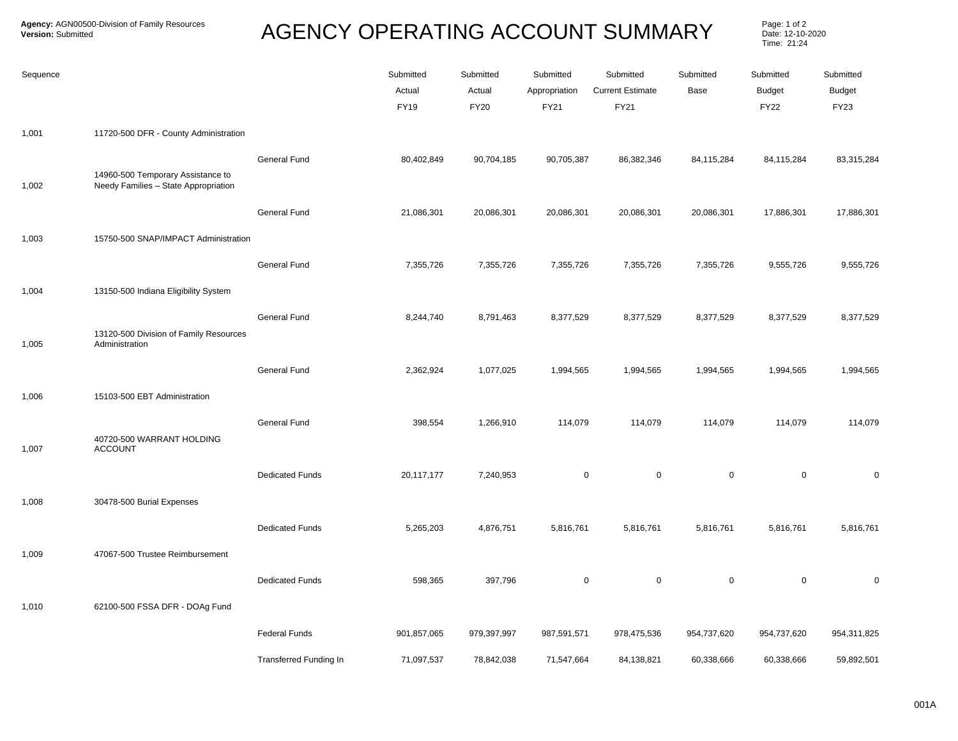| Sequence |                                                                           |                               | Submitted<br>Actual<br><b>FY19</b> | Submitted<br>Actual<br><b>FY20</b> | Submitted<br>Appropriation<br>FY21 | Submitted<br><b>Current Estimate</b><br>FY21 | Submitted<br>Base | Submitted<br><b>Budget</b><br><b>FY22</b> | Submitted<br><b>Budget</b><br><b>FY23</b> |
|----------|---------------------------------------------------------------------------|-------------------------------|------------------------------------|------------------------------------|------------------------------------|----------------------------------------------|-------------------|-------------------------------------------|-------------------------------------------|
| 1,001    | 11720-500 DFR - County Administration                                     |                               |                                    |                                    |                                    |                                              |                   |                                           |                                           |
| 1,002    | 14960-500 Temporary Assistance to<br>Needy Families - State Appropriation | General Fund                  | 80,402,849                         | 90,704,185                         | 90,705,387                         | 86,382,346                                   | 84,115,284        | 84,115,284                                | 83,315,284                                |
|          |                                                                           | General Fund                  | 21,086,301                         | 20,086,301                         | 20,086,301                         | 20,086,301                                   | 20,086,301        | 17,886,301                                | 17,886,301                                |
| 1,003    | 15750-500 SNAP/IMPACT Administration                                      |                               |                                    |                                    |                                    |                                              |                   |                                           |                                           |
|          |                                                                           | General Fund                  | 7,355,726                          | 7,355,726                          | 7,355,726                          | 7,355,726                                    | 7,355,726         | 9,555,726                                 | 9,555,726                                 |
| 1,004    | 13150-500 Indiana Eligibility System                                      |                               |                                    |                                    |                                    |                                              |                   |                                           |                                           |
| 1,005    | 13120-500 Division of Family Resources<br>Administration                  | General Fund                  | 8,244,740                          | 8,791,463                          | 8,377,529                          | 8,377,529                                    | 8,377,529         | 8,377,529                                 | 8,377,529                                 |
|          |                                                                           | General Fund                  | 2,362,924                          | 1,077,025                          | 1,994,565                          | 1,994,565                                    | 1,994,565         | 1,994,565                                 | 1,994,565                                 |
| 1,006    | 15103-500 EBT Administration                                              |                               |                                    |                                    |                                    |                                              |                   |                                           |                                           |
| 1,007    | 40720-500 WARRANT HOLDING<br><b>ACCOUNT</b>                               | General Fund                  | 398,554                            | 1,266,910                          | 114,079                            | 114,079                                      | 114,079           | 114,079                                   | 114,079                                   |
|          |                                                                           | <b>Dedicated Funds</b>        | 20,117,177                         | 7,240,953                          | $\mathbf 0$                        | $\mathsf 0$                                  | $\mathsf 0$       | $\mathbf 0$                               | $\mathbf 0$                               |
| 1,008    | 30478-500 Burial Expenses                                                 |                               |                                    |                                    |                                    |                                              |                   |                                           |                                           |
|          |                                                                           | <b>Dedicated Funds</b>        | 5,265,203                          | 4,876,751                          | 5,816,761                          | 5,816,761                                    | 5,816,761         | 5,816,761                                 | 5,816,761                                 |
| 1,009    | 47067-500 Trustee Reimbursement                                           |                               |                                    |                                    |                                    |                                              |                   |                                           |                                           |
|          |                                                                           | <b>Dedicated Funds</b>        | 598,365                            | 397,796                            | $\pmb{0}$                          | $\pmb{0}$                                    | $\mathsf 0$       | $\mathbf 0$                               | $\pmb{0}$                                 |
| 1,010    | 62100-500 FSSA DFR - DOAg Fund                                            |                               |                                    |                                    |                                    |                                              |                   |                                           |                                           |
|          |                                                                           | <b>Federal Funds</b>          | 901,857,065                        | 979,397,997                        | 987,591,571                        | 978,475,536                                  | 954,737,620       | 954,737,620                               | 954,311,825                               |
|          |                                                                           | <b>Transferred Funding In</b> | 71,097,537                         | 78,842,038                         | 71,547,664                         | 84,138,821                                   | 60,338,666        | 60,338,666                                | 59,892,501                                |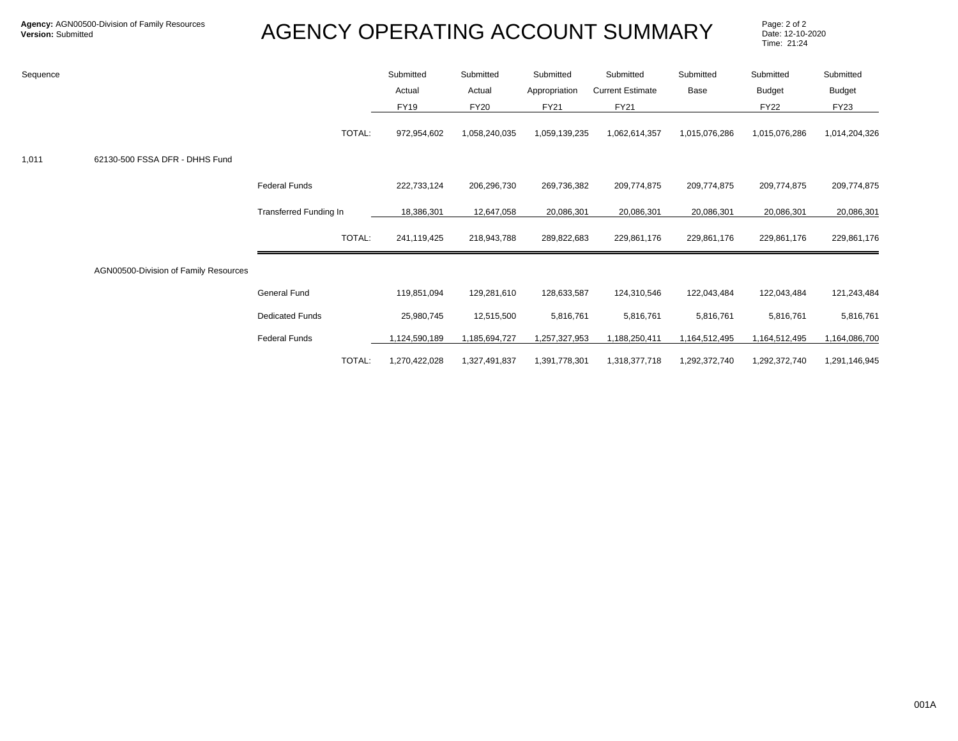| Sequence |                                       |                        |        | Submitted     | Submitted     | Submitted     | Submitted               | Submitted     | Submitted     | Submitted     |
|----------|---------------------------------------|------------------------|--------|---------------|---------------|---------------|-------------------------|---------------|---------------|---------------|
|          |                                       |                        |        | Actual        | Actual        | Appropriation | <b>Current Estimate</b> | Base          | <b>Budget</b> | <b>Budget</b> |
|          |                                       |                        |        | <b>FY19</b>   | <b>FY20</b>   | FY21          | <b>FY21</b>             |               | <b>FY22</b>   | FY23          |
|          |                                       |                        | TOTAL: | 972,954,602   | 1,058,240,035 | 1,059,139,235 | 1,062,614,357           | 1,015,076,286 | 1,015,076,286 | 1,014,204,326 |
| 1,011    | 62130-500 FSSA DFR - DHHS Fund        |                        |        |               |               |               |                         |               |               |               |
|          |                                       | <b>Federal Funds</b>   |        | 222,733,124   | 206,296,730   | 269,736,382   | 209,774,875             | 209,774,875   | 209,774,875   | 209,774,875   |
|          |                                       | Transferred Funding In |        | 18,386,301    | 12,647,058    | 20,086,301    | 20,086,301              | 20,086,301    | 20,086,301    | 20,086,301    |
|          |                                       |                        | TOTAL: | 241,119,425   | 218,943,788   | 289,822,683   | 229,861,176             | 229,861,176   | 229,861,176   | 229,861,176   |
|          | AGN00500-Division of Family Resources |                        |        |               |               |               |                         |               |               |               |
|          |                                       | General Fund           |        | 119,851,094   | 129,281,610   | 128,633,587   | 124,310,546             | 122,043,484   | 122,043,484   | 121,243,484   |
|          |                                       | <b>Dedicated Funds</b> |        | 25,980,745    | 12,515,500    | 5,816,761     | 5,816,761               | 5,816,761     | 5,816,761     | 5,816,761     |
|          |                                       | <b>Federal Funds</b>   |        | 1,124,590,189 | 1,185,694,727 | 1,257,327,953 | 1,188,250,411           | 1,164,512,495 | 1,164,512,495 | 1,164,086,700 |
|          |                                       |                        | TOTAL: | 1,270,422,028 | 1,327,491,837 | 1,391,778,301 | 1,318,377,718           | 1,292,372,740 | 1,292,372,740 | 1,291,146,945 |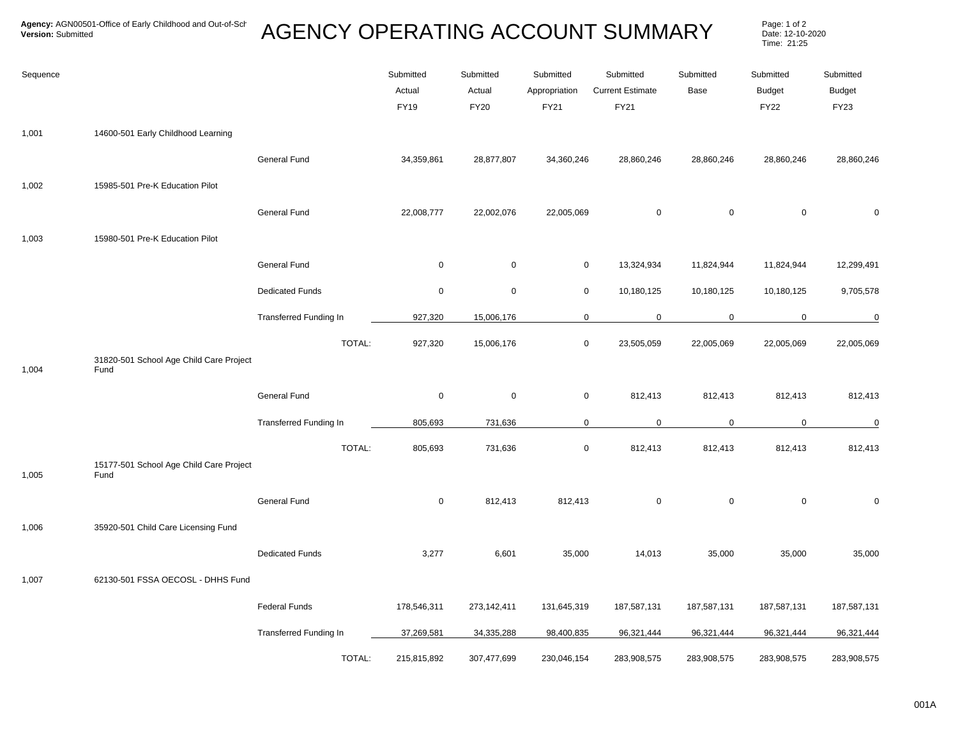| Sequence |                                                 |                               | Submitted<br>Actual<br>FY19 | Submitted<br>Actual<br><b>FY20</b> | Submitted<br>Appropriation<br>FY21 | Submitted<br><b>Current Estimate</b><br>FY21 | Submitted<br>Base   | Submitted<br><b>Budget</b><br><b>FY22</b> | Submitted<br><b>Budget</b><br>FY23 |
|----------|-------------------------------------------------|-------------------------------|-----------------------------|------------------------------------|------------------------------------|----------------------------------------------|---------------------|-------------------------------------------|------------------------------------|
| 1,001    | 14600-501 Early Childhood Learning              |                               |                             |                                    |                                    |                                              |                     |                                           |                                    |
|          |                                                 | General Fund                  | 34,359,861                  | 28,877,807                         | 34,360,246                         | 28,860,246                                   | 28,860,246          | 28,860,246                                | 28,860,246                         |
| 1,002    | 15985-501 Pre-K Education Pilot                 |                               |                             |                                    |                                    |                                              |                     |                                           |                                    |
|          |                                                 | <b>General Fund</b>           | 22,008,777                  | 22,002,076                         | 22,005,069                         | $\mathsf{O}\xspace$                          | $\mathsf 0$         | $\mathbf 0$                               | 0                                  |
| 1,003    | 15980-501 Pre-K Education Pilot                 |                               |                             |                                    |                                    |                                              |                     |                                           |                                    |
|          |                                                 | General Fund                  | $\mathsf 0$                 | $\mathsf 0$                        | $\mathbf 0$                        | 13,324,934                                   | 11,824,944          | 11,824,944                                | 12,299,491                         |
|          |                                                 | <b>Dedicated Funds</b>        | $\mathbf 0$                 | $\mathbf 0$                        | $\mathbf 0$                        | 10,180,125                                   | 10,180,125          | 10,180,125                                | 9,705,578                          |
|          |                                                 | <b>Transferred Funding In</b> | 927,320                     | 15,006,176                         | $\mathbf 0$                        | $\mathbf 0$                                  | $\mathbf 0$         | $\mathbf 0$                               | $\mathbf 0$                        |
| 1,004    | 31820-501 School Age Child Care Project<br>Fund | TOTAL:                        | 927,320                     | 15,006,176                         | $\mathbf 0$                        | 23,505,059                                   | 22,005,069          | 22,005,069                                | 22,005,069                         |
|          |                                                 | General Fund                  | $\mathbf 0$                 | $\mathbf 0$                        | $\mathbf 0$                        | 812,413                                      | 812,413             | 812,413                                   | 812,413                            |
|          |                                                 | Transferred Funding In        | 805,693                     | 731,636                            | $\mathbf 0$                        | $\mathbf 0$                                  | $\mathbf 0$         | 0                                         | $\mathbf 0$                        |
| 1,005    | 15177-501 School Age Child Care Project<br>Fund | TOTAL:                        | 805,693                     | 731,636                            | $\mathbf 0$                        | 812,413                                      | 812,413             | 812,413                                   | 812,413                            |
|          |                                                 | <b>General Fund</b>           | $\mathbf 0$                 | 812,413                            | 812,413                            | $\mathsf 0$                                  | $\mathsf{O}\xspace$ | $\mathbf 0$                               | 0                                  |
| 1,006    | 35920-501 Child Care Licensing Fund             |                               |                             |                                    |                                    |                                              |                     |                                           |                                    |
|          |                                                 | <b>Dedicated Funds</b>        | 3,277                       | 6,601                              | 35,000                             | 14,013                                       | 35,000              | 35,000                                    | 35,000                             |
| 1,007    | 62130-501 FSSA OECOSL - DHHS Fund               |                               |                             |                                    |                                    |                                              |                     |                                           |                                    |
|          |                                                 | <b>Federal Funds</b>          | 178,546,311                 | 273,142,411                        | 131,645,319                        | 187,587,131                                  | 187,587,131         | 187,587,131                               | 187,587,131                        |
|          |                                                 | Transferred Funding In        | 37,269,581                  | 34,335,288                         | 98,400,835                         | 96,321,444                                   | 96,321,444          | 96,321,444                                | 96,321,444                         |
|          |                                                 | TOTAL:                        | 215,815,892                 | 307,477,699                        | 230,046,154                        | 283,908,575                                  | 283,908,575         | 283,908,575                               | 283,908,575                        |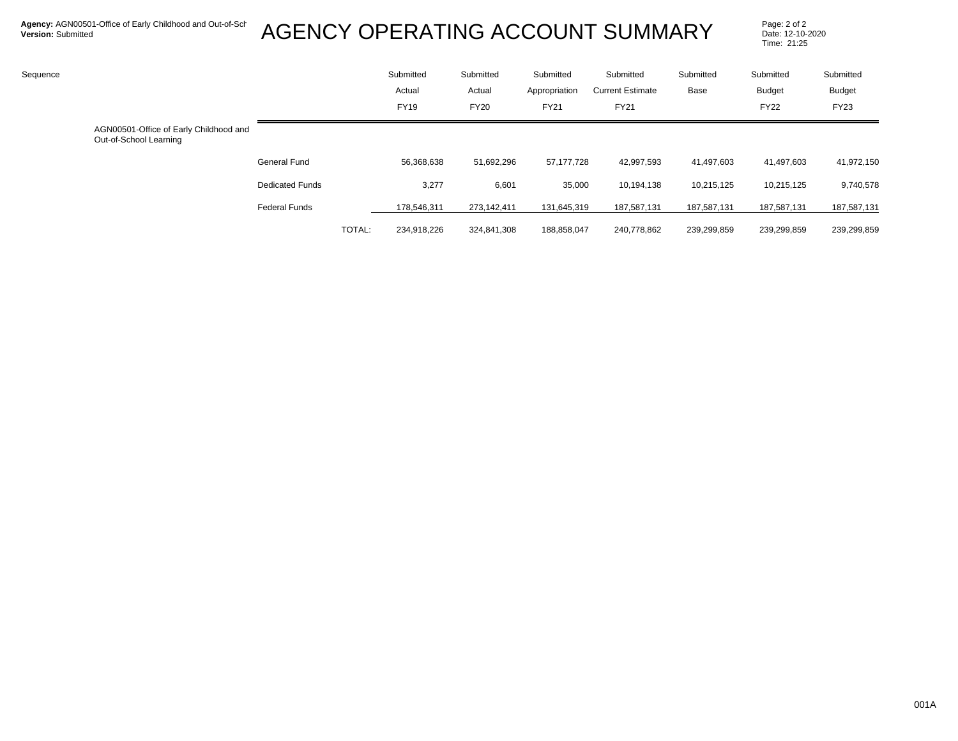| Sequence |                                                                  |                        |        | Submitted<br>Actual<br><b>FY19</b> | Submitted<br>Actual<br><b>FY20</b> | Submitted<br>Appropriation<br>FY21 | Submitted<br><b>Current Estimate</b><br><b>FY21</b> | Submitted<br>Base | Submitted<br>Budget<br><b>FY22</b> | Submitted<br>Budget<br><b>FY23</b> |
|----------|------------------------------------------------------------------|------------------------|--------|------------------------------------|------------------------------------|------------------------------------|-----------------------------------------------------|-------------------|------------------------------------|------------------------------------|
|          | AGN00501-Office of Early Childhood and<br>Out-of-School Learning |                        |        |                                    |                                    |                                    |                                                     |                   |                                    |                                    |
|          |                                                                  | <b>General Fund</b>    |        | 56,368,638                         | 51,692,296                         | 57, 177, 728                       | 42,997,593                                          | 41,497,603        | 41,497,603                         | 41,972,150                         |
|          |                                                                  | <b>Dedicated Funds</b> |        | 3,277                              | 6,601                              | 35,000                             | 10,194,138                                          | 10,215,125        | 10,215,125                         | 9,740,578                          |
|          |                                                                  | <b>Federal Funds</b>   |        | 178.546.311                        | 273,142,411                        | 131,645,319                        | 187,587,131                                         | 187,587,131       | 187,587,131                        | 187,587,131                        |
|          |                                                                  |                        | TOTAL: | 234.918.226                        | 324,841,308                        | 188,858,047                        | 240,778,862                                         | 239,299,859       | 239,299,859                        | 239,299,859                        |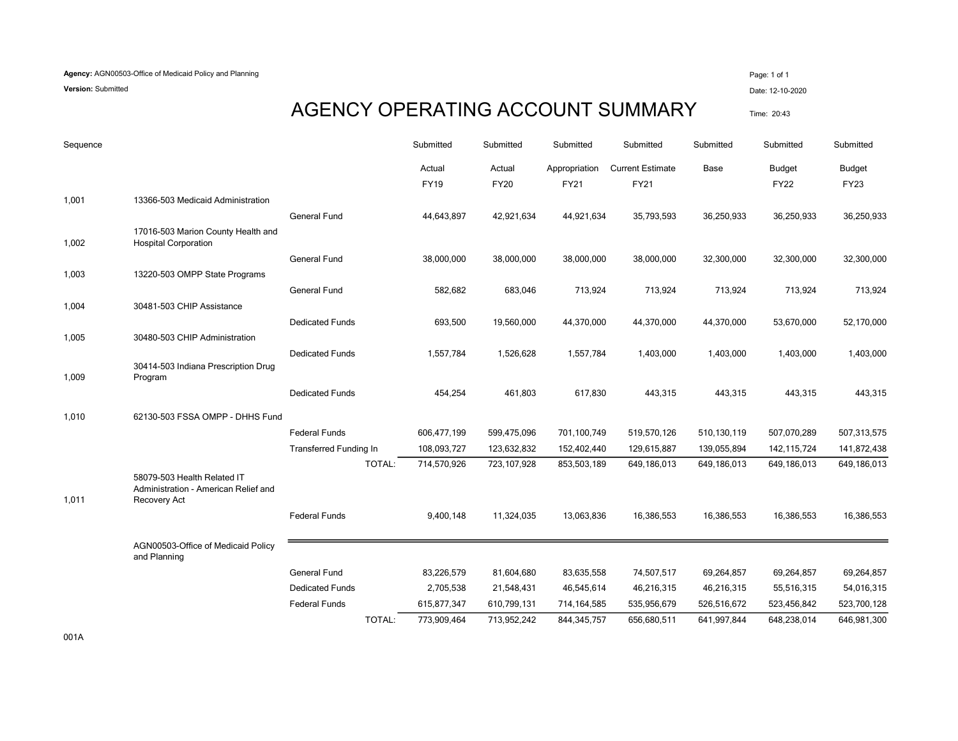**Version:** Submitted Date: 12-10-2020

#### AGENCY OPERATING ACCOUNT SUMMARY Time: 20:43

| Sequence |                                                                     |                               | Submitted             | Submitted             | Submitted                    | Submitted                              | Submitted   | Submitted             | Submitted                    |
|----------|---------------------------------------------------------------------|-------------------------------|-----------------------|-----------------------|------------------------------|----------------------------------------|-------------|-----------------------|------------------------------|
|          |                                                                     |                               | Actual<br><b>FY19</b> | Actual<br><b>FY20</b> | Appropriation<br><b>FY21</b> | <b>Current Estimate</b><br><b>FY21</b> | Base        | Budget<br><b>FY22</b> | <b>Budget</b><br><b>FY23</b> |
| 1,001    | 13366-503 Medicaid Administration                                   |                               |                       |                       |                              |                                        |             |                       |                              |
|          |                                                                     | <b>General Fund</b>           | 44,643,897            | 42,921,634            | 44,921,634                   | 35,793,593                             | 36,250,933  | 36,250,933            | 36,250,933                   |
| 1,002    | 17016-503 Marion County Health and<br><b>Hospital Corporation</b>   |                               |                       |                       |                              |                                        |             |                       |                              |
|          |                                                                     | <b>General Fund</b>           | 38,000,000            | 38,000,000            | 38,000,000                   | 38,000,000                             | 32,300,000  | 32,300,000            | 32,300,000                   |
| 1,003    | 13220-503 OMPP State Programs                                       |                               |                       |                       |                              |                                        |             |                       |                              |
|          |                                                                     | <b>General Fund</b>           | 582,682               | 683,046               | 713,924                      | 713,924                                | 713,924     | 713,924               | 713,924                      |
| 1,004    | 30481-503 CHIP Assistance                                           |                               |                       |                       |                              |                                        |             |                       |                              |
|          |                                                                     | <b>Dedicated Funds</b>        | 693,500               | 19,560,000            | 44,370,000                   | 44,370,000                             | 44,370,000  | 53,670,000            | 52,170,000                   |
| 1,005    | 30480-503 CHIP Administration                                       |                               |                       |                       |                              |                                        |             |                       |                              |
| 1,009    | 30414-503 Indiana Prescription Drug<br>Program                      | <b>Dedicated Funds</b>        | 1,557,784             | 1,526,628             | 1,557,784                    | 1,403,000                              | 1,403,000   | 1,403,000             | 1,403,000                    |
|          |                                                                     | <b>Dedicated Funds</b>        | 454,254               | 461,803               | 617,830                      | 443,315                                | 443,315     | 443,315               | 443,315                      |
| 1,010    | 62130-503 FSSA OMPP - DHHS Fund                                     |                               |                       |                       |                              |                                        |             |                       |                              |
|          |                                                                     | <b>Federal Funds</b>          | 606,477,199           | 599,475,096           | 701,100,749                  | 519,570,126                            | 510,130,119 | 507,070,289           | 507,313,575                  |
|          |                                                                     | <b>Transferred Funding In</b> | 108,093,727           | 123,632,832           | 152,402,440                  | 129,615,887                            | 139,055,894 | 142,115,724           | 141,872,438                  |
|          | 58079-503 Health Related IT<br>Administration - American Relief and | TOTAL:                        | 714,570,926           | 723,107,928           | 853,503,189                  | 649,186,013                            | 649,186,013 | 649,186,013           | 649,186,013                  |
| 1,011    | Recovery Act                                                        | <b>Federal Funds</b>          | 9,400,148             | 11,324,035            | 13,063,836                   | 16,386,553                             | 16,386,553  | 16,386,553            | 16,386,553                   |
|          | AGN00503-Office of Medicaid Policy<br>and Planning                  |                               |                       |                       |                              |                                        |             |                       |                              |
|          |                                                                     | <b>General Fund</b>           | 83,226,579            | 81,604,680            | 83,635,558                   | 74,507,517                             | 69,264,857  | 69,264,857            | 69,264,857                   |
|          |                                                                     | <b>Dedicated Funds</b>        | 2,705,538             | 21,548,431            | 46,545,614                   | 46,216,315                             | 46,216,315  | 55,516,315            | 54,016,315                   |
|          |                                                                     | <b>Federal Funds</b>          | 615,877,347           | 610,799,131           | 714,164,585                  | 535,956,679                            | 526,516,672 | 523,456,842           | 523,700,128                  |
|          |                                                                     | <b>TOTAL:</b>                 | 773,909,464           | 713,952,242           | 844, 345, 757                | 656,680,511                            | 641,997,844 | 648,238,014           | 646,981,300                  |